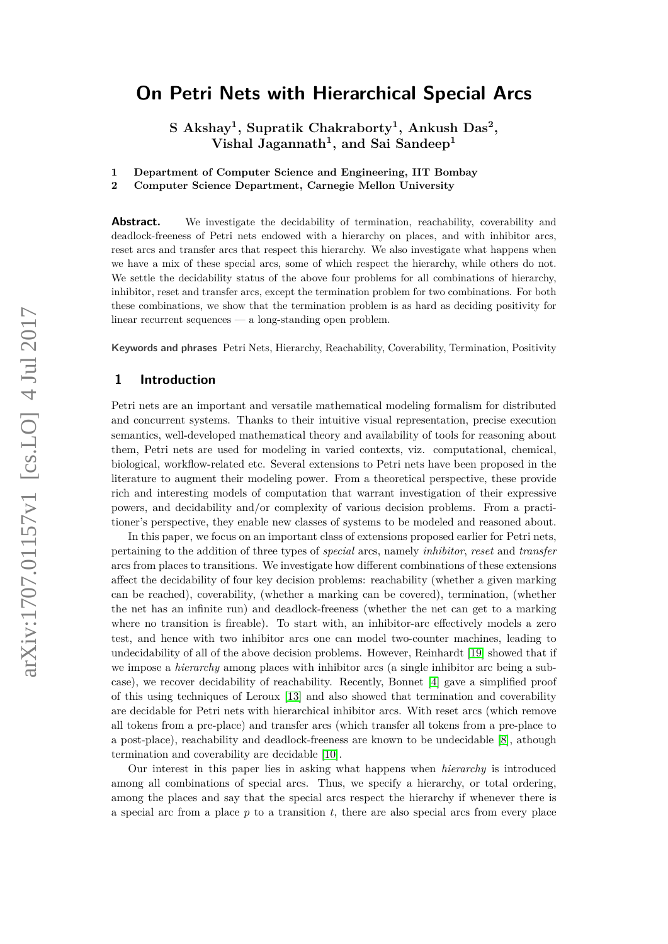**S Akshay<sup>1</sup> , Supratik Chakraborty<sup>1</sup> , Ankush Das<sup>2</sup> , Vishal Jagannath<sup>1</sup> , and Sai Sandeep<sup>1</sup>**

**1 Department of Computer Science and Engineering, IIT Bombay**

**2 Computer Science Department, Carnegie Mellon University**

**Abstract.** We investigate the decidability of termination, reachability, coverability and deadlock-freeness of Petri nets endowed with a hierarchy on places, and with inhibitor arcs, reset arcs and transfer arcs that respect this hierarchy. We also investigate what happens when we have a mix of these special arcs, some of which respect the hierarchy, while others do not. We settle the decidability status of the above four problems for all combinations of hierarchy, inhibitor, reset and transfer arcs, except the termination problem for two combinations. For both these combinations, we show that the termination problem is as hard as deciding positivity for linear recurrent sequences — a long-standing open problem.

**Keywords and phrases** Petri Nets, Hierarchy, Reachability, Coverability, Termination, Positivity

# **1 Introduction**

Petri nets are an important and versatile mathematical modeling formalism for distributed and concurrent systems. Thanks to their intuitive visual representation, precise execution semantics, well-developed mathematical theory and availability of tools for reasoning about them, Petri nets are used for modeling in varied contexts, viz. computational, chemical, biological, workflow-related etc. Several extensions to Petri nets have been proposed in the literature to augment their modeling power. From a theoretical perspective, these provide rich and interesting models of computation that warrant investigation of their expressive powers, and decidability and/or complexity of various decision problems. From a practitioner's perspective, they enable new classes of systems to be modeled and reasoned about.

In this paper, we focus on an important class of extensions proposed earlier for Petri nets, pertaining to the addition of three types of *special* arcs, namely *inhibitor*, *reset* and *transfer* arcs from places to transitions. We investigate how different combinations of these extensions affect the decidability of four key decision problems: reachability (whether a given marking can be reached), coverability, (whether a marking can be covered), termination, (whether the net has an infinite run) and deadlock-freeness (whether the net can get to a marking where no transition is fireable). To start with, an inhibitor-arc effectively models a zero test, and hence with two inhibitor arcs one can model two-counter machines, leading to undecidability of all of the above decision problems. However, Reinhardt [\[19\]](#page-16-0) showed that if we impose a *hierarchy* among places with inhibitor arcs (a single inhibitor arc being a subcase), we recover decidability of reachability. Recently, Bonnet [\[4\]](#page-15-0) gave a simplified proof of this using techniques of Leroux [\[13\]](#page-16-1) and also showed that termination and coverability are decidable for Petri nets with hierarchical inhibitor arcs. With reset arcs (which remove all tokens from a pre-place) and transfer arcs (which transfer all tokens from a pre-place to a post-place), reachability and deadlock-freeness are known to be undecidable [\[8\]](#page-15-1), athough termination and coverability are decidable [\[10\]](#page-16-2).

Our interest in this paper lies in asking what happens when *hierarchy* is introduced among all combinations of special arcs. Thus, we specify a hierarchy, or total ordering, among the places and say that the special arcs respect the hierarchy if whenever there is a special arc from a place  $p$  to a transition  $t$ , there are also special arcs from every place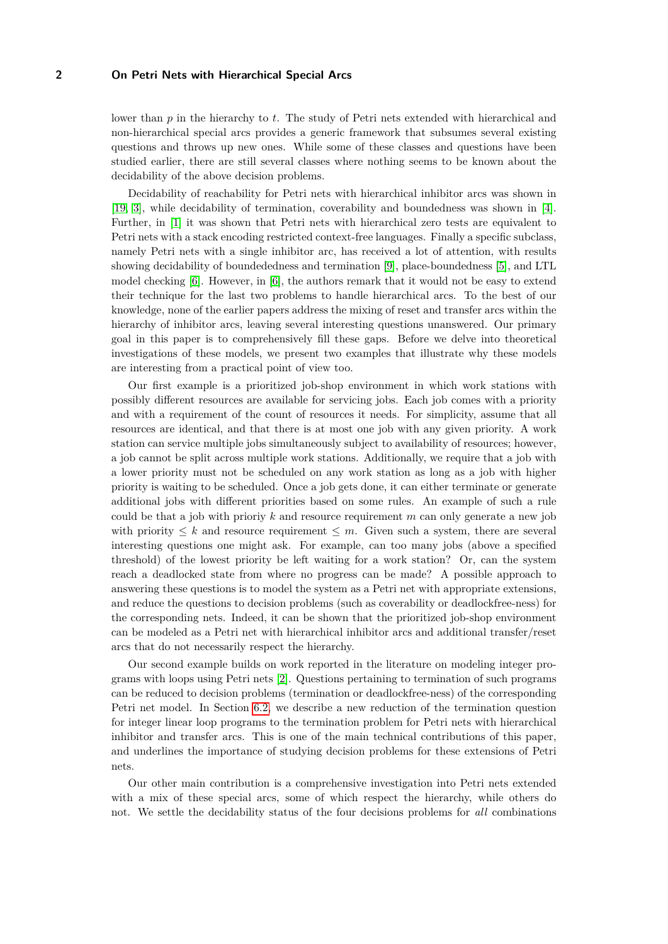lower than *p* in the hierarchy to *t*. The study of Petri nets extended with hierarchical and non-hierarchical special arcs provides a generic framework that subsumes several existing questions and throws up new ones. While some of these classes and questions have been studied earlier, there are still several classes where nothing seems to be known about the decidability of the above decision problems.

Decidability of reachability for Petri nets with hierarchical inhibitor arcs was shown in [\[19,](#page-16-0) [3\]](#page-15-2), while decidability of termination, coverability and boundedness was shown in [\[4\]](#page-15-0). Further, in [\[1\]](#page-15-3) it was shown that Petri nets with hierarchical zero tests are equivalent to Petri nets with a stack encoding restricted context-free languages. Finally a specific subclass, namely Petri nets with a single inhibitor arc, has received a lot of attention, with results showing decidability of boundededness and termination [\[9\]](#page-16-3), place-boundedness [\[5\]](#page-15-4), and LTL model checking [\[6\]](#page-15-5). However, in [\[6\]](#page-15-5), the authors remark that it would not be easy to extend their technique for the last two problems to handle hierarchical arcs. To the best of our knowledge, none of the earlier papers address the mixing of reset and transfer arcs within the hierarchy of inhibitor arcs, leaving several interesting questions unanswered. Our primary goal in this paper is to comprehensively fill these gaps. Before we delve into theoretical investigations of these models, we present two examples that illustrate why these models are interesting from a practical point of view too.

Our first example is a prioritized job-shop environment in which work stations with possibly different resources are available for servicing jobs. Each job comes with a priority and with a requirement of the count of resources it needs. For simplicity, assume that all resources are identical, and that there is at most one job with any given priority. A work station can service multiple jobs simultaneously subject to availability of resources; however, a job cannot be split across multiple work stations. Additionally, we require that a job with a lower priority must not be scheduled on any work station as long as a job with higher priority is waiting to be scheduled. Once a job gets done, it can either terminate or generate additional jobs with different priorities based on some rules. An example of such a rule could be that a job with prioriy *k* and resource requirement *m* can only generate a new job with priority  $\leq k$  and resource requirement  $\leq m$ . Given such a system, there are several interesting questions one might ask. For example, can too many jobs (above a specified threshold) of the lowest priority be left waiting for a work station? Or, can the system reach a deadlocked state from where no progress can be made? A possible approach to answering these questions is to model the system as a Petri net with appropriate extensions, and reduce the questions to decision problems (such as coverability or deadlockfree-ness) for the corresponding nets. Indeed, it can be shown that the prioritized job-shop environment can be modeled as a Petri net with hierarchical inhibitor arcs and additional transfer/reset arcs that do not necessarily respect the hierarchy.

Our second example builds on work reported in the literature on modeling integer programs with loops using Petri nets [\[2\]](#page-15-6). Questions pertaining to termination of such programs can be reduced to decision problems (termination or deadlockfree-ness) of the corresponding Petri net model. In Section [6.2,](#page-13-0) we describe a new reduction of the termination question for integer linear loop programs to the termination problem for Petri nets with hierarchical inhibitor and transfer arcs. This is one of the main technical contributions of this paper, and underlines the importance of studying decision problems for these extensions of Petri nets.

Our other main contribution is a comprehensive investigation into Petri nets extended with a mix of these special arcs, some of which respect the hierarchy, while others do not. We settle the decidability status of the four decisions problems for *all* combinations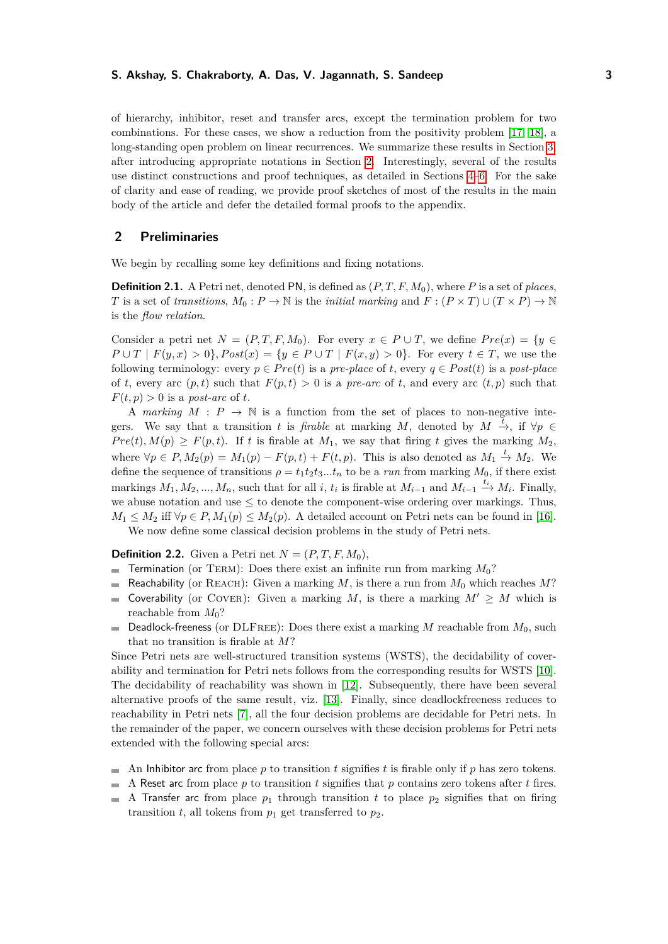of hierarchy, inhibitor, reset and transfer arcs, except the termination problem for two combinations. For these cases, we show a reduction from the positivity problem [\[17,](#page-16-4) [18\]](#page-16-5), a long-standing open problem on linear recurrences. We summarize these results in Section [3,](#page-3-0) after introducing appropriate notations in Section [2.](#page-2-0) Interestingly, several of the results use distinct constructions and proof techniques, as detailed in Sections [4–](#page-5-0)[6.](#page-12-0) For the sake of clarity and ease of reading, we provide proof sketches of most of the results in the main body of the article and defer the detailed formal proofs to the appendix.

## <span id="page-2-0"></span>**2 Preliminaries**

We begin by recalling some key definitions and fixing notations.

**Definition 2.1.** A Petri net, denoted PN, is defined as (*P, T, F, M*0), where *P* is a set of *places*, *T* is a set of *transitions*,  $M_0: P \to \mathbb{N}$  is the *initial marking* and  $F: (P \times T) \cup (T \times P) \to \mathbb{N}$ is the *flow relation*.

Consider a petri net  $N = (P, T, F, M_0)$ . For every  $x \in P \cup T$ , we define  $Pre(x) = \{y \in T, Y \in T\}$ *P* ∪ *T* |  $F(y, x) > 0$ }*, Post*(*x*) = {*y* ∈ *P* ∪ *T* |  $F(x, y) > 0$ }. For every *t* ∈ *T*, we use the following terminology: every  $p \in Pre(t)$  is a *pre-place* of *t*, every  $q \in Post(t)$  is a *post-place* of *t*, every arc  $(p, t)$  such that  $F(p, t) > 0$  is a *pre-arc* of *t*, and every arc  $(t, p)$  such that  $F(t, p) > 0$  is a *post-arc* of *t*.

A *marking*  $M : P \to \mathbb{N}$  is a function from the set of places to non-negative integers. We say that a transition *t* is *firable* at marking *M*, denoted by  $M \xrightarrow{\tilde{t}}$ , if  $\forall p \in$  $Pre(t), M(p) \geq F(p, t)$ . If *t* is firable at  $M_1$ , we say that firing *t* gives the marking  $M_2$ , where  $\forall p \in P, M_2(p) = M_1(p) - F(p, t) + F(t, p)$ . This is also denoted as  $M_1 \stackrel{t}{\rightarrow} M_2$ . We define the sequence of transitions  $\rho = t_1 t_2 t_3 \dots t_n$  to be a *run* from marking  $M_0$ , if there exist markings  $M_1, M_2, ..., M_n$ , such that for all *i*,  $t_i$  is firable at  $M_{i-1}$  and  $M_{i-1} \xrightarrow{t_i} M_i$ . Finally, we abuse notation and use  $\leq$  to denote the component-wise ordering over markings. Thus,  $M_1 \leq M_2$  iff  $\forall p \in P, M_1(p) \leq M_2(p)$ . A detailed account on Petri nets can be found in [\[16\]](#page-16-6). We now define some classical decision problems in the study of Petri nets.

**Definition 2.2.** Given a Petri net  $N = (P, T, F, M_0)$ ,

- $\overline{a}$ Termination (or TERM): Does there exist an infinite run from marking  $M_0$ ?
- Reachability (or REACH): Given a marking *M*, is there a run from  $M_0$  which reaches  $M$ ?  $\blacksquare$
- Coverability (or COVER): Given a marking *M*, is there a marking  $M' \geq M$  which is reachable from  $M_0$ ?
- Deadlock-freeness (or DLFree): Does there exist a marking *M* reachable from *M*0, such  $\equiv$ that no transition is firable at *M*?

Since Petri nets are well-structured transition systems (WSTS), the decidability of coverability and termination for Petri nets follows from the corresponding results for WSTS [\[10\]](#page-16-2). The decidability of reachability was shown in [\[12\]](#page-16-7). Subsequently, there have been several alternative proofs of the same result, viz. [\[13\]](#page-16-1). Finally, since deadlockfreeness reduces to reachability in Petri nets [\[7\]](#page-15-7), all the four decision problems are decidable for Petri nets. In the remainder of the paper, we concern ourselves with these decision problems for Petri nets extended with the following special arcs:

- $\blacksquare$  An Inhibitor arc from place p to transition t signifies t is firable only if p has zero tokens.
- A Reset arc from place *p* to transition *t* signifies that *p* contains zero tokens after *t* fires.  $\overline{a}$
- A Transfer arc from place  $p_1$  through transition t to place  $p_2$  signifies that on firing transition  $t$ , all tokens from  $p_1$  get transferred to  $p_2$ .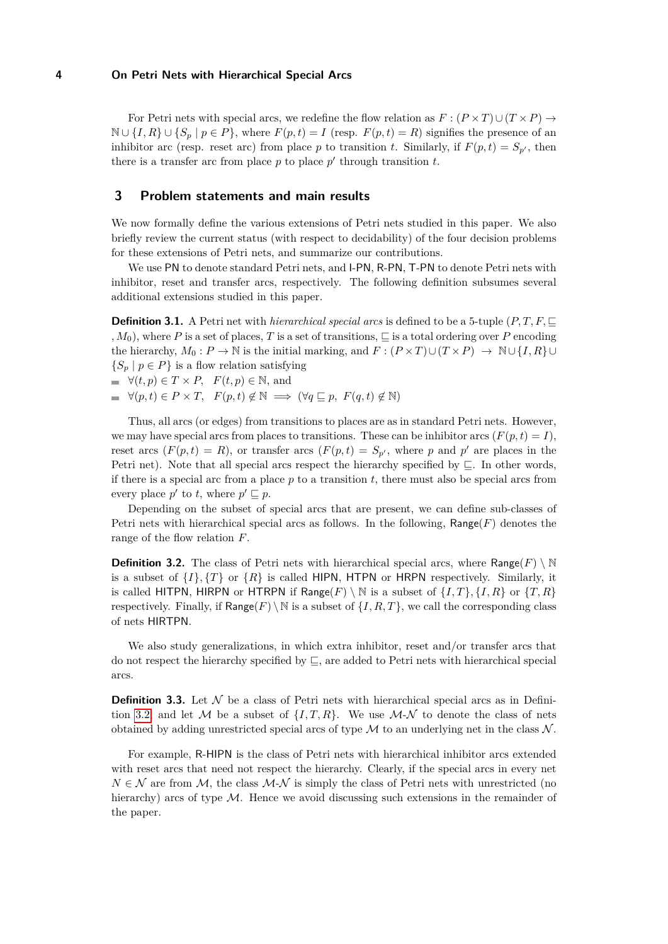For Petri nets with special arcs, we redefine the flow relation as  $F : (P \times T) \cup (T \times P) \rightarrow$ N ∪  $\{I, R\}$  ∪  $\{S_p | p \in P\}$ , where  $F(p, t) = I$  (resp.  $F(p, t) = R$ ) signifies the presence of an inhibitor arc (resp. reset arc) from place *p* to transition *t*. Similarly, if  $F(p, t) = S_{p}$ , then there is a transfer arc from place  $p$  to place  $p'$  through transition  $t$ .

### <span id="page-3-0"></span>**3 Problem statements and main results**

We now formally define the various extensions of Petri nets studied in this paper. We also briefly review the current status (with respect to decidability) of the four decision problems for these extensions of Petri nets, and summarize our contributions.

We use PN to denote standard Petri nets, and I-PN, R-PN, T-PN to denote Petri nets with inhibitor, reset and transfer arcs, respectively. The following definition subsumes several additional extensions studied in this paper.

**Definition 3.1.** A Petri net with *hierarchical special arcs* is defined to be a 5-tuple  $(P, T, F, \sqsubseteq$ *, M*<sub>0</sub>), where *P* is a set of places, *T* is a set of transitions,  $\subseteq$  is a total ordering over *P* encoding the hierarchy,  $M_0: P \to \mathbb{N}$  is the initial marking, and  $F: (P \times T) \cup (T \times P) \to \mathbb{N} \cup \{I, R\} \cup$  ${S_p | p \in P}$  is a flow relation satisfying

 $\forall (t, p) \in T \times P$ ,  $F(t, p) \in \mathbb{N}$ , and

 $\Rightarrow \forall (p, t) \in P \times T, \quad F(p, t) \notin \mathbb{N} \implies (\forall q \sqsubseteq p, \ F(q, t) \notin \mathbb{N})$ 

Thus, all arcs (or edges) from transitions to places are as in standard Petri nets. However, we may have special arcs from places to transitions. These can be inhibitor arcs  $(F(p, t) = I)$ , reset arcs  $(F(p, t) = R)$ , or transfer arcs  $(F(p, t) = S_{p}$ , where p and p' are places in the Petri net). Note that all special arcs respect the hierarchy specified by  $\Box$ . In other words, if there is a special arc from a place *p* to a transition *t*, there must also be special arcs from every place  $p'$  to *t*, where  $p' \sqsubseteq p$ .

Depending on the subset of special arcs that are present, we can define sub-classes of Petri nets with hierarchical special arcs as follows. In the following,  $\text{Range}(F)$  denotes the range of the flow relation *F*.

<span id="page-3-1"></span>**Definition 3.2.** The class of Petri nets with hierarchical special arcs, where Range( $F$ ) \ N is a subset of  $\{I\}$ ,  $\{T\}$  or  $\{R\}$  is called HIPN, HTPN or HRPN respectively. Similarly, it is called HITPN, HIRPN or HTRPN if Range(*F*) \ N is a subset of  $\{I, T\}$ ,  $\{I, R\}$  or  $\{T, R\}$ respectively. Finally, if  $\text{Range}(F) \setminus \mathbb{N}$  is a subset of  $\{I, R, T\}$ , we call the corresponding class of nets HIRTPN.

We also study generalizations, in which extra inhibitor, reset and/or transfer arcs that do not respect the hierarchy specified by  $\Box$ , are added to Petri nets with hierarchical special arcs.

**Definition 3.3.** Let  $N$  be a class of Petri nets with hierarchical special arcs as in Defini-tion [3.2,](#page-3-1) and let M be a subset of  $\{I, T, R\}$ . We use M-N to denote the class of nets obtained by adding unrestricted special arcs of type  $\mathcal M$  to an underlying net in the class  $\mathcal N$ .

For example, R-HIPN is the class of Petri nets with hierarchical inhibitor arcs extended with reset arcs that need not respect the hierarchy. Clearly, if the special arcs in every net  $N \in \mathcal{N}$  are from  $\mathcal{M}$ , the class  $\mathcal{M}$ - $\mathcal{N}$  is simply the class of Petri nets with unrestricted (no hierarchy) arcs of type  $M$ . Hence we avoid discussing such extensions in the remainder of the paper.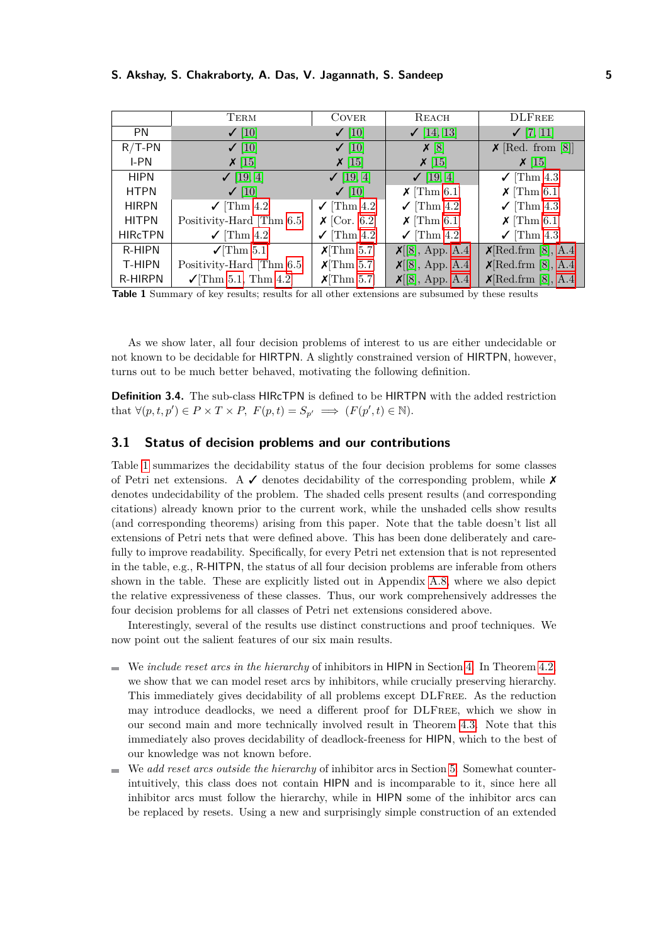<span id="page-4-0"></span>

|                | TERM                               | <b>COVER</b>                         | REACH                    | <b>DLFREE</b>                                 |
|----------------|------------------------------------|--------------------------------------|--------------------------|-----------------------------------------------|
| PN.            | $\checkmark$ [10]                  | $\checkmark$ [10]                    | $\checkmark$ [14, 13]    | $\checkmark$ [7, 11]                          |
| $R/T-PN$       | $\checkmark$ [10]                  | $\checkmark$ [10]                    | X[8]                     | $\boldsymbol{\mathsf{X}}$ [Red. from [8]]     |
| I-PN           | $X$ [15]                           | $\times$ [15]                        | $\boldsymbol{\chi}$ [15] | $\boldsymbol{\chi}$ [15]                      |
| <b>HIPN</b>    | $\checkmark$ [19, 4]               | $\checkmark$ [19, 4]                 | $\checkmark$ [19, 4]     | $\checkmark$ [Thm 4.3]                        |
| <b>HTPN</b>    | $\checkmark$ [10]                  | $\checkmark$ [10]                    | $\chi$ [Thm 6.1]         | $\chi$ [Thm 6.1]                              |
| <b>HIRPN</b>   | $\checkmark$ [Thm 4.2]             | $\checkmark$ [Thm 4.2]               | $\checkmark$ [Thm 4.2]   | $\checkmark$ [Thm 4.3]                        |
| <b>HITPN</b>   | Positivity-Hard [Thm 6.5]          | $\boldsymbol{\mathsf{X}}$ [Cor. 6.2] | $\chi$ [Thm 6.1]         | $\chi$ [Thm 6.1]                              |
| <b>HIRCTPN</b> | $\checkmark$ [Thm 4.2]             | $\checkmark$ [Thm 4.2]               | $\checkmark$ [Thm 4.2]   | $\checkmark$ [Thm 4.3]                        |
| R-HIPN         | $\sqrt{\text{Thm } 5.1}$           | $X[\text{Thm } 5.7]$                 | $X[8]$ , App. A.4]       | $\mathsf{X}[\text{Red.frm } [8], \text{A.4}]$ |
| T-HIPN         | Positivity-Hard [Thm 6.5]          | $X[\text{Thm } 5.7]$                 | $X[8]$ , App. A.4]       | $\mathsf{X}[\text{Red.frm }[8], \text{A.4}]$  |
| R-HIRPN        | $\sqrt{\text{Thm } 5.1}$ , Thm 4.2 | $X[\text{Thm } 5.7]$                 | $X[8]$ , App. A.4]       | X[Red.ffrm [8], A.4]                          |

**Table 1** Summary of key results; results for all other extensions are subsumed by these results

As we show later, all four decision problems of interest to us are either undecidable or not known to be decidable for HIRTPN. A slightly constrained version of HIRTPN, however, turns out to be much better behaved, motivating the following definition.

**Definition 3.4.** The sub-class HIRcTPN is defined to be HIRTPN with the added restriction that  $\forall (p, t, p') \in P \times T \times P$ ,  $F(p, t) = S_{p'} \implies (F(p', t) \in \mathbb{N}).$ 

# **3.1 Status of decision problems and our contributions**

Table [1](#page-4-0) summarizes the decidability status of the four decision problems for some classes of Petri net extensions. A  $\checkmark$  denotes decidability of the corresponding problem, while  $\checkmark$ denotes undecidability of the problem. The shaded cells present results (and corresponding citations) already known prior to the current work, while the unshaded cells show results (and corresponding theorems) arising from this paper. Note that the table doesn't list all extensions of Petri nets that were defined above. This has been done deliberately and carefully to improve readability. Specifically, for every Petri net extension that is not represented in the table, e.g., R-HITPN, the status of all four decision problems are inferable from others shown in the table. These are explicitly listed out in Appendix [A.8,](#page-32-0) where we also depict the relative expressiveness of these classes. Thus, our work comprehensively addresses the four decision problems for all classes of Petri net extensions considered above.

Interestingly, several of the results use distinct constructions and proof techniques. We now point out the salient features of our six main results.

- We *include reset arcs in the hierarchy* of inhibitors in HIPN in Section [4.](#page-5-0) In Theorem [4.2,](#page-6-0) we show that we can model reset arcs by inhibitors, while crucially preserving hierarchy. This immediately gives decidability of all problems except DLFree. As the reduction may introduce deadlocks, we need a different proof for DLFree, which we show in our second main and more technically involved result in Theorem [4.3.](#page-8-0) Note that this immediately also proves decidability of deadlock-freeness for HIPN, which to the best of our knowledge was not known before.
- We *add reset arcs outside the hierarchy* of inhibitor arcs in Section [5.](#page-8-1) Somewhat counterintuitively, this class does not contain HIPN and is incomparable to it, since here all inhibitor arcs must follow the hierarchy, while in HIPN some of the inhibitor arcs can be replaced by resets. Using a new and surprisingly simple construction of an extended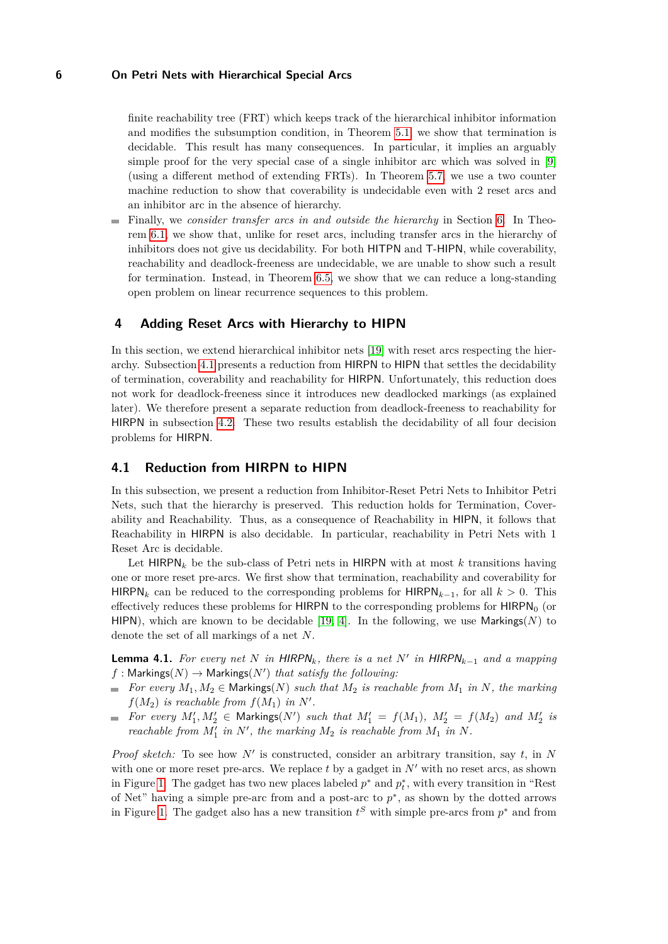finite reachability tree (FRT) which keeps track of the hierarchical inhibitor information and modifies the subsumption condition, in Theorem [5.1,](#page-9-0) we show that termination is decidable. This result has many consequences. In particular, it implies an arguably simple proof for the very special case of a single inhibitor arc which was solved in [\[9\]](#page-16-3) (using a different method of extending FRTs). In Theorem [5.7,](#page-10-0) we use a two counter machine reduction to show that coverability is undecidable even with 2 reset arcs and an inhibitor arc in the absence of hierarchy.

Finally, we *consider transfer arcs in and outside the hierarchy* in Section [6.](#page-12-0) In Theorem [6.1,](#page-12-1) we show that, unlike for reset arcs, including transfer arcs in the hierarchy of inhibitors does not give us decidability. For both HITPN and T-HIPN, while coverability, reachability and deadlock-freeness are undecidable, we are unable to show such a result for termination. Instead, in Theorem [6.5,](#page-15-8) we show that we can reduce a long-standing open problem on linear recurrence sequences to this problem.

### <span id="page-5-0"></span>**4 Adding Reset Arcs with Hierarchy to HIPN**

In this section, we extend hierarchical inhibitor nets [\[19\]](#page-16-0) with reset arcs respecting the hierarchy. Subsection [4.1](#page-5-1) presents a reduction from HIRPN to HIPN that settles the decidability of termination, coverability and reachability for HIRPN. Unfortunately, this reduction does not work for deadlock-freeness since it introduces new deadlocked markings (as explained later). We therefore present a separate reduction from deadlock-freeness to reachability for HIRPN in subsection [4.2.](#page-7-0) These two results establish the decidability of all four decision problems for HIRPN.

### <span id="page-5-1"></span>**4.1 Reduction from HIRPN to HIPN**

In this subsection, we present a reduction from Inhibitor-Reset Petri Nets to Inhibitor Petri Nets, such that the hierarchy is preserved. This reduction holds for Termination, Coverability and Reachability. Thus, as a consequence of Reachability in HIPN, it follows that Reachability in HIRPN is also decidable. In particular, reachability in Petri Nets with 1 Reset Arc is decidable.

Let HIRPN*<sup>k</sup>* be the sub-class of Petri nets in HIRPN with at most *k* transitions having one or more reset pre-arcs. We first show that termination, reachability and coverability for HIRPN*<sup>k</sup>* can be reduced to the corresponding problems for HIRPN*k*−1, for all *k >* 0. This effectively reduces these problems for HIRPN to the corresponding problems for  $HIRPN<sub>0</sub>$  (or HIPN), which are known to be decidable [\[19,](#page-16-0) [4\]](#page-15-0). In the following, we use  $Marking(N)$  to denote the set of all markings of a net *N*.

<span id="page-5-2"></span>**Lemma 4.1.** For every net  $N$  in HIRPN<sub>k</sub>, there is a net  $N'$  in HIRPN<sub>k-1</sub> and a mapping  $f:$  Markings( $N$ )  $\rightarrow$  Markings( $N'$ ) *that satisfy the following*:

- $\blacksquare$  *For every*  $M_1, M_2 \in$  Markings(*N*) *such that*  $M_2$  *is reachable from*  $M_1$  *in N, the marking*  $f(M_2)$  *is reachable from*  $f(M_1)$  *in*  $N'$ *.*
- *For every*  $M'_1, M'_2 \in \text{Markings}(N')$  *such that*  $M'_1 = f(M_1), M'_2 = f(M_2)$  *and*  $M'_2$  *is reachable from*  $M'_1$  *in*  $N'$ *, the marking*  $M_2$  *is reachable from*  $M_1$  *in*  $N$ *.*

*Proof sketch:* To see how  $N'$  is constructed, consider an arbitrary transition, say  $t$ , in  $N$ with one or more reset pre-arcs. We replace  $t$  by a gadget in  $N'$  with no reset arcs, as shown in Figure [1.](#page-6-1) The gadget has two new places labeled  $p^*$  and  $p_t^*$ , with every transition in "Rest" of Net" having a simple pre-arc from and a post-arc to  $p^*$ , as shown by the dotted arrows in Figure [1.](#page-6-1) The gadget also has a new transition  $t^S$  with simple pre-arcs from  $p^*$  and from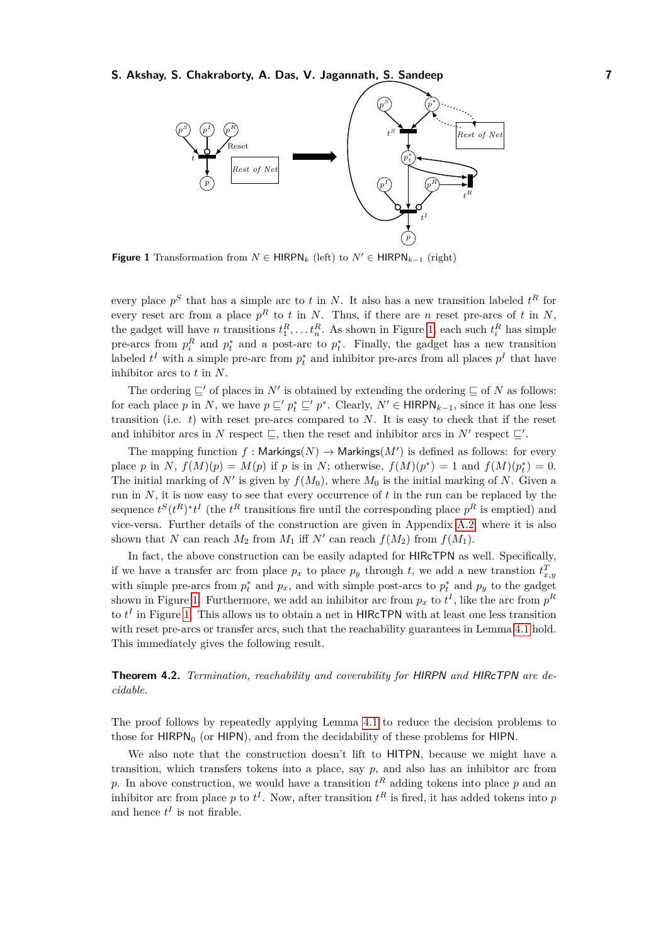<span id="page-6-1"></span>

**Figure 1** Transformation from  $N \in \text{HIRPN}_k$  (left) to  $N' \in \text{HIRPN}_{k-1}$  (right)

every place  $p<sup>S</sup>$  that has a simple arc to *t* in *N*. It also has a new transition labeled  $t<sup>R</sup>$  for every reset arc from a place  $p^R$  to *t* in *N*. Thus, if there are *n* reset pre-arcs of *t* in *N*, the gadget will have *n* transitions  $t_1^R, \ldots, t_n^R$ . As shown in Figure [1,](#page-6-1) each such  $t_i^R$  has simple pre-arcs from  $p_i^R$  and  $p_i^*$  and a post-arc to  $p_i^*$ . Finally, the gadget has a new transition labeled  $t^I$  with a simple pre-arc from  $p_t^*$  and inhibitor pre-arcs from all places  $p^I$  that have inhibitor arcs to *t* in *N*.

The ordering  $\subseteq'$  of places in *N'* is obtained by extending the ordering  $\subseteq$  of *N* as follows: for each place *p* in *N*, we have  $p \subseteq' p_t^* \subseteq' p^*$ . Clearly,  $N' \in \text{HIRPN}_{k-1}$ , since it has one less transition (i.e. *t*) with reset pre-arcs compared to *N*. It is easy to check that if the reset and inhibitor arcs in *N* respect  $\subseteq$ , then the reset and inhibitor arcs in *N'* respect  $\subseteq'$ .

The mapping function  $f :$  Markings( $N$ )  $\rightarrow$  Markings( $M'$ ) is defined as follows: for every place *p* in *N*,  $f(M)(p) = M(p)$  if *p* is in *N*; otherwise,  $f(M)(p^*) = 1$  and  $f(M)(p_t^*) = 0$ . The initial marking of  $N'$  is given by  $f(M_0)$ , where  $M_0$  is the initial marking of N. Given a run in  $N$ , it is now easy to see that every occurrence of  $t$  in the run can be replaced by the sequence  $t^S(t^R)^*t^I$  (the  $t^R$  transitions fire until the corresponding place  $p^R$  is emptied) and vice-versa. Further details of the construction are given in Appendix [A.2,](#page-18-0) where it is also shown that *N* can reach  $M_2$  from  $M_1$  iff  $N'$  can reach  $f(M_2)$  from  $f(M_1)$ .

In fact, the above construction can be easily adapted for HIRcTPN as well. Specifically, if we have a transfer arc from place  $p_x$  to place  $p_y$  through *t*, we add a new transtion  $t_{x,y}^T$ with simple pre-arcs from  $p_t^*$  and  $p_x$ , and with simple post-arcs to  $p_t^*$  and  $p_y$  to the gadget shown in Figure [1.](#page-6-1) Furthermore, we add an inhibitor arc from  $p_x$  to  $t^I$ , like the arc from  $p^R$ to  $t^I$  in Figure [1.](#page-6-1) This allows us to obtain a net in  $HIRcTPN$  with at least one less transition with reset pre-arcs or transfer arcs, such that the reachability guarantees in Lemma [4.1](#page-5-2) hold. This immediately gives the following result.

<span id="page-6-0"></span>**Theorem 4.2.** *Termination, reachability and coverability for* HIRPN *and* HIRcTPN *are decidable.*

The proof follows by repeatedly applying Lemma [4.1](#page-5-2) to reduce the decision problems to those for  $HIPN<sub>0</sub>$  (or  $HIPN$ ), and from the decidability of these problems for  $HIPN$ .

We also note that the construction doesn't lift to HITPN, because we might have a transition, which transfers tokens into a place, say  $p$ , and also has an inhibitor arc from p. In above construction, we would have a transition  $t^R$  adding tokens into place p and an inhibitor arc from place p to  $t^I$ . Now, after transition  $t^R$  is fired, it has added tokens into p and hence  $t^I$  is not firable.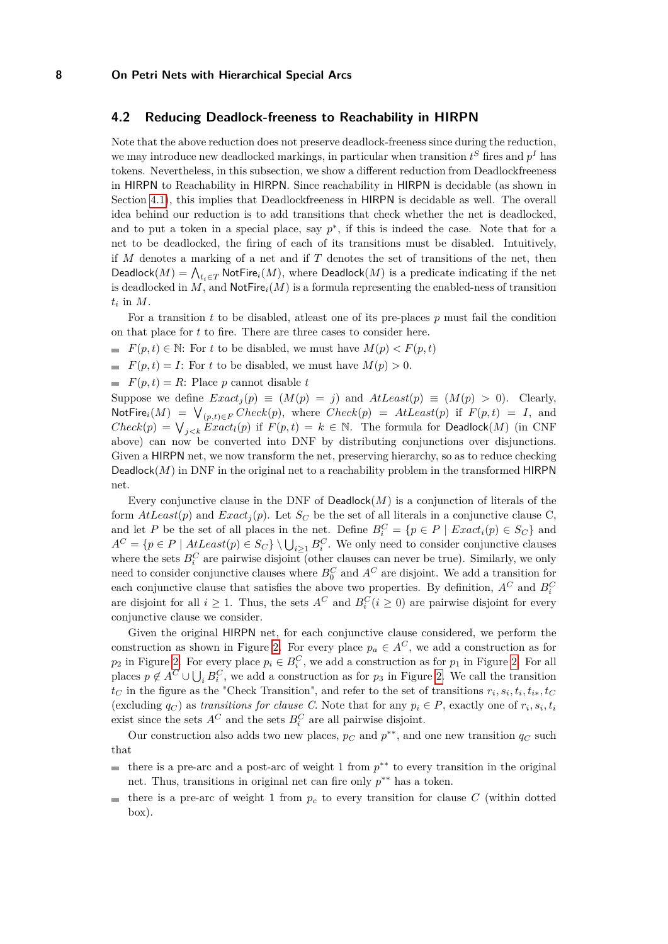# <span id="page-7-0"></span>**4.2 Reducing Deadlock-freeness to Reachability in HIRPN**

Note that the above reduction does not preserve deadlock-freeness since during the reduction, we may introduce new deadlocked markings, in particular when transition  $t^S$  fires and  $p^I$  has tokens. Nevertheless, in this subsection, we show a different reduction from Deadlockfreeness in HIRPN to Reachability in HIRPN. Since reachability in HIRPN is decidable (as shown in Section [4.1\)](#page-5-1), this implies that Deadlockfreeness in HIRPN is decidable as well. The overall idea behind our reduction is to add transitions that check whether the net is deadlocked, and to put a token in a special place, say  $p^*$ , if this is indeed the case. Note that for a net to be deadlocked, the firing of each of its transitions must be disabled. Intuitively, if *M* denotes a marking of a net and if *T* denotes the set of transitions of the net, then  $\mathsf{Deadlock}(M) = \bigwedge_{t_i \in T} \mathsf{NotFire}_i(M),$  where  $\mathsf{Deadlock}(M)$  is a predicate indicating if the net is deadlocked in  $M$ , and  $\textsf{NotFire}_i(M)$  is a formula representing the enabled-ness of transition  $t_i$  in  $M$ .

For a transition *t* to be disabled, atleast one of its pre-places *p* must fail the condition on that place for *t* to fire. There are three cases to consider here.

- *F*(*p, t*)  $\in$  N: For *t* to be disabled, we must have  $M(p)$   $\lt$  *F*(*p, t*)
- $F(p,t) = I$ : For *t* to be disabled, we must have  $M(p) > 0$ .
- $F(p,t) = R$ : Place *p* cannot disable *t*

Suppose we define  $Exact<sub>j</sub>(p) \equiv (M(p) = j)$  and  $AttLeast(p) \equiv (M(p) > 0)$ . Clearly,  $\text{NotFire}_i(M) = \bigvee_{(p,t) \in F} Check(p), \text{ where } Check(p) = AtLeast(p) \text{ if } F(p,t) = I, \text{ and }$  $Check(p) = V_{j < k}$  *Exact<sub>l</sub>*(*p*) if  $F(p, t) = k \in \mathbb{N}$ . The formula for Deadlock(*M*) (in CNF above) can now be converted into DNF by distributing conjunctions over disjunctions. Given a HIRPN net, we now transform the net, preserving hierarchy, so as to reduce checking Deadlock $(M)$  in DNF in the original net to a reachability problem in the transformed HIRPN net.

Every conjunctive clause in the DNF of  $Deadlock(M)$  is a conjunction of literals of the form  $AtLeast(p)$  and  $Exact<sub>j</sub>(p)$ . Let  $S<sub>C</sub>$  be the set of all literals in a conjunctive clause C, and let *P* be the set of all places in the net. Define  $B_i^C = \{p \in P \mid Exact_i(p) \in S_C\}$  and  $A^C = \{p \in P \mid AtLeast(p) \in S_C\} \setminus \bigcup_{i \geq 1} B_i^C$ . We only need to consider conjunctive clauses where the sets  $B_i^C$  are pairwise disjoint (other clauses can never be true). Similarly, we only need to consider conjunctive clauses where  $B_0^C$  and  $A^C$  are disjoint. We add a transition for each conjunctive clause that satisfies the above two properties. By definition,  $A^C$  and  $B_i^C$ are disjoint for all  $i \geq 1$ . Thus, the sets  $A^C$  and  $B_i^C$  ( $i \geq 0$ ) are pairwise disjoint for every conjunctive clause we consider.

Given the original HIRPN net, for each conjunctive clause considered, we perform the construction as shown in Figure [2.](#page-8-2) For every place  $p_a \in A^C$ , we add a construction as for *p*<sub>2</sub> in Figure [2.](#page-8-2) For every place  $p_i \in B_i^C$ , we add a construction as for  $p_1$  in Figure 2. For all places  $p \notin A^C \cup \bigcup_i B_i^C$ , we add a construction as for  $p_3$  in Figure [2.](#page-8-2) We call the transition *t*<sub>C</sub> in the figure as the "Check Transition", and refer to the set of transitions  $r_i$ ,  $s_i$ ,  $t_i$ ,  $t_i$ <sub>\*</sub>,  $t_C$ (excluding  $q_C$ ) as *transitions for clause C*. Note that for any  $p_i \in P$ , exactly one of  $r_i, s_i, t_i$ exist since the sets  $A^C$  and the sets  $B_i^C$  are all pairwise disjoint.

Our construction also adds two new places,  $p_C$  and  $p^{**}$ , and one new transition  $q_C$  such that

- there is a pre-arc and a post-arc of weight 1 from  $p^{**}$  to every transition in the original  $\overline{a}$ net. Thus, transitions in original net can fire only  $p^{**}$  has a token.
- there is a pre-arc of weight 1 from  $p_c$  to every transition for clause  $C$  (within dotted  $\sim$ box).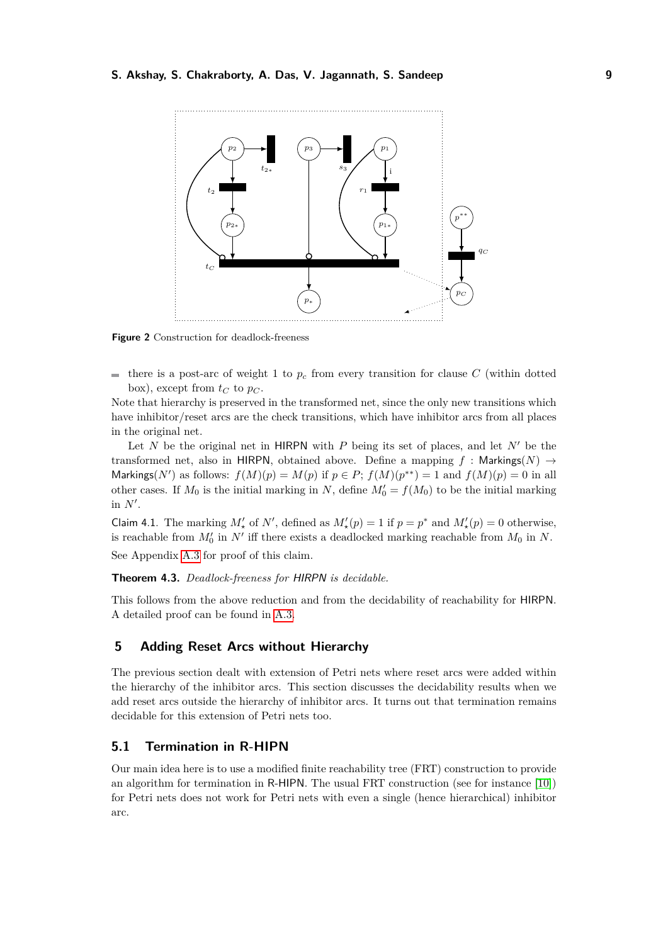<span id="page-8-2"></span>

**Figure 2** Construction for deadlock-freeness

there is a post-arc of weight 1 to  $p_c$  from every transition for clause  $C$  (within dotted box), except from  $t_C$  to  $p_C$ .

Note that hierarchy is preserved in the transformed net, since the only new transitions which have inhibitor/reset arcs are the check transitions, which have inhibitor arcs from all places in the original net.

Let *N* be the original net in HIRPN with *P* being its set of places, and let  $N'$  be the transformed net, also in HIRPN, obtained above. Define a mapping  $f :$  Markings( $N$ )  $\rightarrow$ Markings( $N'$ ) as follows:  $f(M)(p) = M(p)$  if  $p \in P$ ;  $f(M)(p^{**}) = 1$  and  $f(M)(p) = 0$  in all other cases. If  $M_0$  is the initial marking in *N*, define  $M'_0 = f(M_0)$  to be the initial marking in  $N'$ .

Claim 4.1. The marking  $M'_{\star}$  of  $N'$ , defined as  $M'_{\star}(p) = 1$  if  $p = p^*$  and  $M'_{\star}(p) = 0$  otherwise, is reachable from  $M'_0$  in  $N'$  iff there exists a deadlocked marking reachable from  $M_0$  in  $N$ .

See Appendix [A.3](#page-19-0) for proof of this claim.

<span id="page-8-0"></span>**Theorem 4.3.** *Deadlock-freeness for* HIRPN *is decidable.*

This follows from the above reduction and from the decidability of reachability for HIRPN. A detailed proof can be found in [A.3.](#page-19-0)

# <span id="page-8-1"></span>**5 Adding Reset Arcs without Hierarchy**

The previous section dealt with extension of Petri nets where reset arcs were added within the hierarchy of the inhibitor arcs. This section discusses the decidability results when we add reset arcs outside the hierarchy of inhibitor arcs. It turns out that termination remains decidable for this extension of Petri nets too.

# <span id="page-8-3"></span>**5.1 Termination in R-HIPN**

Our main idea here is to use a modified finite reachability tree (FRT) construction to provide an algorithm for termination in R-HIPN. The usual FRT construction (see for instance [\[10\]](#page-16-2)) for Petri nets does not work for Petri nets with even a single (hence hierarchical) inhibitor arc.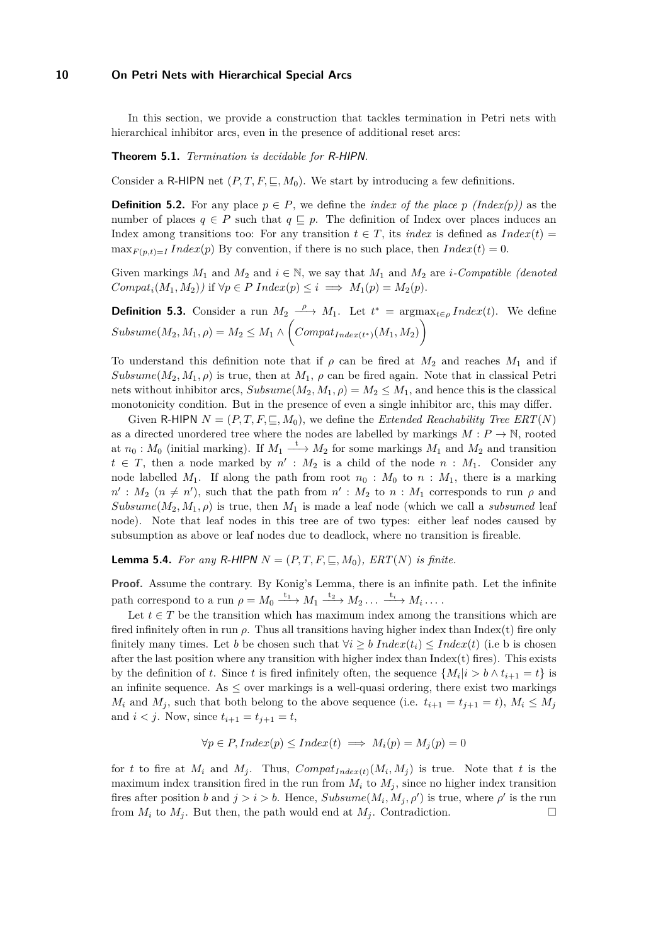In this section, we provide a construction that tackles termination in Petri nets with hierarchical inhibitor arcs, even in the presence of additional reset arcs:

<span id="page-9-0"></span>**Theorem 5.1.** *Termination is decidable for* R-HIPN*.*

Consider a R-HIPN net  $(P, T, F, \subseteq, M_0)$ . We start by introducing a few definitions.

**Definition 5.2.** For any place  $p \in P$ , we define the *index of the place p (Index(p))* as the number of places  $q \in P$  such that  $q \subseteq p$ . The definition of Index over places induces an Index among transitions too: For any transition  $t \in T$ , its *index* is defined as *Index*(*t*) =  $\max_{F(p,t)=I} Index(p)$  By convention, if there is no such place, then  $Index(t) = 0$ .

Given markings  $M_1$  and  $M_2$  and  $i \in \mathbb{N}$ , we say that  $M_1$  and  $M_2$  are *i*-Compatible (denoted  $Compat_i(M_1, M_2)$ *)* if  $\forall p \in P$   $Index(p) \leq i \implies M_1(p) = M_2(p)$ .

**Definition 5.3.** Consider a run  $M_2 \xrightarrow{\rho} M_1$ . Let  $t^* = \argmax_{t \in \rho} Index(t)$ . We define  $Subsume(M_2, M_1, \rho) = M_2 \leq M_1 \wedge \Big(Compat_{Index(t^*)}(M_1, M_2)\Big)$ 

To understand this definition note that if  $\rho$  can be fired at  $M_2$  and reaches  $M_1$  and if *Subsume*( $M_2, M_1, \rho$ ) is true, then at  $M_1, \rho$  can be fired again. Note that in classical Petri nets without inhibitor arcs,  $Subsume(M_2, M_1, \rho) = M_2 \leq M_1$ , and hence this is the classical monotonicity condition. But in the presence of even a single inhibitor arc, this may differ.

Given R-HIPN  $N = (P, T, F, \subseteq, M_0)$ , we define the *Extended Reachability Tree ERT*(*N*) as a directed unordered tree where the nodes are labelled by markings  $M: P \to \mathbb{N}$ , rooted at  $n_0: M_0$  (initial marking). If  $M_1 \xrightarrow{t} M_2$  for some markings  $M_1$  and  $M_2$  and transition  $t \in T$ , then a node marked by  $n' : M_2$  is a child of the node  $n : M_1$ . Consider any node labelled  $M_1$ . If along the path from root  $n_0$ :  $M_0$  to  $n$ :  $M_1$ , there is a marking  $n' : M_2$  ( $n \neq n'$ ), such that the path from  $n' : M_2$  to  $n : M_1$  corresponds to run  $\rho$  and  $Subsume(M_2, M_1, \rho)$  is true, then  $M_1$  is made a leaf node (which we call a *subsumed* leaf node). Note that leaf nodes in this tree are of two types: either leaf nodes caused by subsumption as above or leaf nodes due to deadlock, where no transition is fireable.

**Lemma 5.4.** *For any R*-HIPN  $N = (P, T, F, \square, M_0)$ *, ERT*(*N*) *is finite.* 

**Proof.** Assume the contrary. By Konig's Lemma, there is an infinite path. Let the infinite path correspond to a run  $\rho = M_0 \xrightarrow{t_1} M_1 \xrightarrow{t_2} M_2 \dots \xrightarrow{t_i} M_i \dots$ 

Let  $t \in T$  be the transition which has maximum index among the transitions which are fired infinitely often in run  $\rho$ . Thus all transitions having higher index than Index(t) fire only finitely many times. Let *b* be chosen such that  $\forall i \geq b \; Index(t_i) \leq Index(t)$  (i.e b is chosen after the last position where any transition with higher index than  $Index(t)$  fires). This exists by the definition of *t*. Since *t* is fired infinitely often, the sequence  $\{M_i|i > b \wedge t_{i+1} = t\}$  is an infinite sequence. As  $\leq$  over markings is a well-quasi ordering, there exist two markings *M*<sub>*i*</sub> and *M*<sub>*j*</sub>, such that both belong to the above sequence (i.e.  $t_{i+1} = t_{j+1} = t$ ),  $M_i \leq M_j$ and  $i < j$ . Now, since  $t_{i+1} = t_{j+1} = t$ ,

$$
\forall p \in P, Index(p) \leq Index(t) \implies M_i(p) = M_j(p) = 0
$$

for *t* to fire at  $M_i$  and  $M_j$ . Thus,  $Compat_{Index(t)}(M_i, M_j)$  is true. Note that *t* is the maximum index transition fired in the run from  $M_i$  to  $M_j$ , since no higher index transition fires after position *b* and  $j > i > b$ . Hence,  $Subsume(M_i, M_j, \rho')$  is true, where  $\rho'$  is the run from  $M_i$  to  $M_j$ . But then, the path would end at  $M_j$ . Contradiction.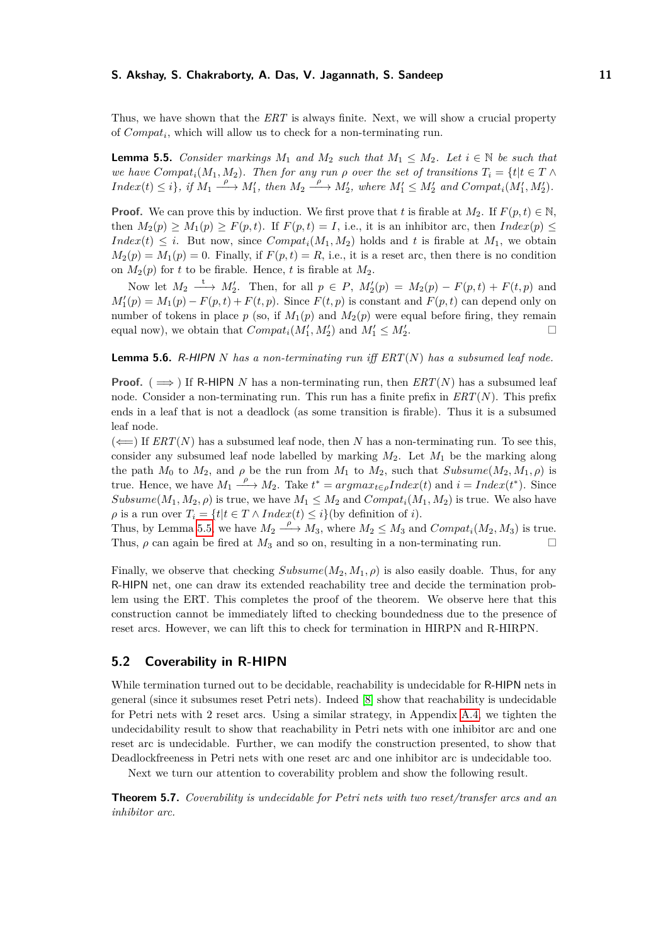Thus, we have shown that the *ERT* is always finite. Next, we will show a crucial property of *Compat<sup>i</sup>* , which will allow us to check for a non-terminating run.

<span id="page-10-1"></span>**Lemma 5.5.** *Consider markings*  $M_1$  *and*  $M_2$  *such that*  $M_1 \leq M_2$ *. Let*  $i \in \mathbb{N}$  *be such that we have*  $Compat<sub>i</sub>(M<sub>1</sub>, M<sub>2</sub>)$ *. Then for any run*  $\rho$  *over the set of transitions*  $T<sub>i</sub> = \{t | t \in T \land T\}$  $Index(t) \leq i$ , if  $M_1 \xrightarrow{\rho} M'_1$ , then  $M_2 \xrightarrow{\rho} M'_2$ , where  $M'_1 \leq M'_2$  and  $Compat_i(M'_1, M'_2)$ .

**Proof.** We can prove this by induction. We first prove that *t* is firable at  $M_2$ . If  $F(p, t) \in \mathbb{N}$ , then  $M_2(p) \geq M_1(p) \geq F(p, t)$ . If  $F(p, t) = I$ , i.e., it is an inhibitor arc, then  $Index(p) \leq$ *Index*(*t*)  $\leq i$ . But now, since *Compat<sub>i</sub>*( $M_1, M_2$ ) holds and *t* is firable at  $M_1$ , we obtain  $M_2(p) = M_1(p) = 0$ . Finally, if  $F(p, t) = R$ , i.e., it is a reset arc, then there is no condition on  $M_2(p)$  for *t* to be firable. Hence, *t* is firable at  $M_2$ .

Now let  $M_2 \longrightarrow M'_2$ . Then, for all  $p \in P$ ,  $M'_2(p) = M_2(p) - F(p, t) + F(t, p)$  and  $M_1'(p) = M_1(p) - F(p, t) + F(t, p)$ . Since  $F(t, p)$  is constant and  $F(p, t)$  can depend only on number of tokens in place  $p$  (so, if  $M_1(p)$  and  $M_2(p)$  were equal before firing, they remain equal now), we obtain that  $Compat_i(M'_1, M'_2)$  and  $M'_1 \leq M'_2$ .

**Lemma 5.6.** R-HIPN *N has a non-terminating run iff ERT*(*N*) *has a subsumed leaf node.*

**Proof.** ( $\implies$ ) If R-HIPN *N* has a non-terminating run, then *ERT*(*N*) has a subsumed leaf node. Consider a non-terminating run. This run has a finite prefix in *ERT*(*N*). This prefix ends in a leaf that is not a deadlock (as some transition is firable). Thus it is a subsumed leaf node.

 $(\Leftarrow)$  If *ERT*(*N*) has a subsumed leaf node, then *N* has a non-terminating run. To see this, consider any subsumed leaf node labelled by marking *M*2. Let *M*<sup>1</sup> be the marking along the path  $M_0$  to  $M_2$ , and  $\rho$  be the run from  $M_1$  to  $M_2$ , such that  $Subsume(M_2, M_1, \rho)$  is true. Hence, we have  $M_1 \xrightarrow{\rho} M_2$ . Take  $t^* = argmax_{t \in \rho} Index(t)$  and  $i = Index(t^*)$ . Since *Subsume*( $M_1, M_2, \rho$ ) is true, we have  $M_1 \leq M_2$  and  $Compat_i(M_1, M_2)$  is true. We also have  $\rho$  is a run over  $T_i = \{t | t \in T \land Index(t) \leq i\}$  (by definition of *i*).

Thus, by Lemma [5.5,](#page-10-1) we have  $M_2 \stackrel{\rho}{\longrightarrow} M_3$ , where  $M_2 \leq M_3$  and  $Compat_i(M_2, M_3)$  is true. Thus,  $\rho$  can again be fired at  $M_3$  and so on, resulting in a non-terminating run.

Finally, we observe that checking  $Subsume(M_2, M_1, \rho)$  is also easily doable. Thus, for any R-HIPN net, one can draw its extended reachability tree and decide the termination problem using the ERT. This completes the proof of the theorem. We observe here that this construction cannot be immediately lifted to checking boundedness due to the presence of reset arcs. However, we can lift this to check for termination in HIRPN and R-HIRPN.

# <span id="page-10-2"></span>**5.2 Coverability in R-HIPN**

While termination turned out to be decidable, reachability is undecidable for R-HIPN nets in general (since it subsumes reset Petri nets). Indeed [\[8\]](#page-15-1) show that reachability is undecidable for Petri nets with 2 reset arcs. Using a similar strategy, in Appendix [A.4,](#page-23-0) we tighten the undecidability result to show that reachability in Petri nets with one inhibitor arc and one reset arc is undecidable. Further, we can modify the construction presented, to show that Deadlockfreeness in Petri nets with one reset arc and one inhibitor arc is undecidable too.

Next we turn our attention to coverability problem and show the following result.

<span id="page-10-0"></span>**Theorem 5.7.** *Coverability is undecidable for Petri nets with two reset/transfer arcs and an inhibitor arc.*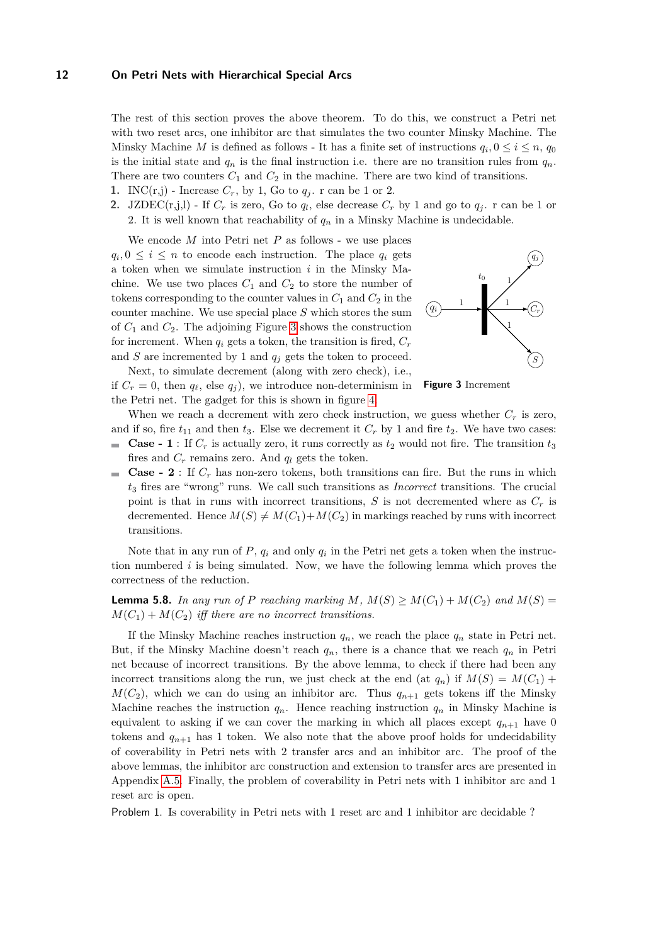The rest of this section proves the above theorem. To do this, we construct a Petri net with two reset arcs, one inhibitor arc that simulates the two counter Minsky Machine. The Minsky Machine *M* is defined as follows - It has a finite set of instructions  $q_i, 0 \leq i \leq n$ ,  $q_0$ is the initial state and  $q_n$  is the final instruction i.e. there are no transition rules from  $q_n$ . There are two counters  $C_1$  and  $C_2$  in the machine. There are two kind of transitions.

- **1.** INC(r,j) Increase  $C_r$ , by 1, Go to  $q_i$ . r can be 1 or 2.
- **2.** JZDEC(r,j,l) If  $C_r$  is zero, Go to  $q_l$ , else decrease  $C_r$  by 1 and go to  $q_j$ . r can be 1 or 2. It is well known that reachability of  $q_n$  in a Minsky Machine is undecidable.

We encode *M* into Petri net *P* as follows - we use places  $q_i, 0 \leq i \leq n$  to encode each instruction. The place  $q_i$  gets a token when we simulate instruction *i* in the Minsky Machine. We use two places  $C_1$  and  $C_2$  to store the number of tokens corresponding to the counter values in  $C_1$  and  $C_2$  in the counter machine. We use special place *S* which stores the sum of *C*<sup>1</sup> and *C*2. The adjoining Figure [3](#page-11-0) shows the construction for increment. When  $q_i$  gets a token, the transition is fired,  $C_r$ and  $S$  are incremented by 1 and  $q_i$  gets the token to proceed.

<span id="page-11-0"></span>

Next, to simulate decrement (along with zero check), i.e., if  $C_r = 0$ , then  $q_\ell$ , else  $q_i$ ), we introduce non-determinism in the Petri net. The gadget for this is shown in figure [4.](#page-12-2)

**Figure 3** Increment

When we reach a decrement with zero check instruction, we guess whether  $C_r$  is zero, and if so, fire  $t_{11}$  and then  $t_3$ . Else we decrement it  $C_r$  by 1 and fire  $t_2$ . We have two cases:

- **Case 1** : If  $C_r$  is actually zero, it runs correctly as  $t_2$  would not fire. The transition  $t_3$  $\mathcal{L}_{\mathcal{A}}$ fires and  $C_r$  remains zero. And  $q_l$  gets the token.
- **Case 2** : If  $C_r$  has non-zero tokens, both transitions can fire. But the runs in which *t*<sup>3</sup> fires are "wrong" runs. We call such transitions as *Incorrect* transitions. The crucial point is that in runs with incorrect transitions,  $S$  is not decremented where as  $C_r$  is decremented. Hence  $M(S) \neq M(C_1) + M(C_2)$  in markings reached by runs with incorrect transitions.

Note that in any run of *P*, *q<sup>i</sup>* and only *q<sup>i</sup>* in the Petri net gets a token when the instruction numbered *i* is being simulated. Now, we have the following lemma which proves the correctness of the reduction.

**Lemma 5.8.** In any run of P reaching marking  $M$ ,  $M(S) \geq M(C_1) + M(C_2)$  and  $M(S) =$  $M(C_1) + M(C_2)$  *iff there are no incorrect transitions.* 

If the Minsky Machine reaches instruction  $q_n$ , we reach the place  $q_n$  state in Petri net. But, if the Minsky Machine doesn't reach  $q_n$ , there is a chance that we reach  $q_n$  in Petri net because of incorrect transitions. By the above lemma, to check if there had been any incorrect transitions along the run, we just check at the end (at  $q_n$ ) if  $M(S) = M(C_1) +$  $M(C_2)$ , which we can do using an inhibitor arc. Thus  $q_{n+1}$  gets tokens iff the Minsky Machine reaches the instruction  $q_n$ . Hence reaching instruction  $q_n$  in Minsky Machine is equivalent to asking if we can cover the marking in which all places except  $q_{n+1}$  have 0 tokens and  $q_{n+1}$  has 1 token. We also note that the above proof holds for undecidability of coverability in Petri nets with 2 transfer arcs and an inhibitor arc. The proof of the above lemmas, the inhibitor arc construction and extension to transfer arcs are presented in Appendix [A.5.](#page-26-0) Finally, the problem of coverability in Petri nets with 1 inhibitor arc and 1 reset arc is open.

Problem 1. Is coverability in Petri nets with 1 reset arc and 1 inhibitor arc decidable ?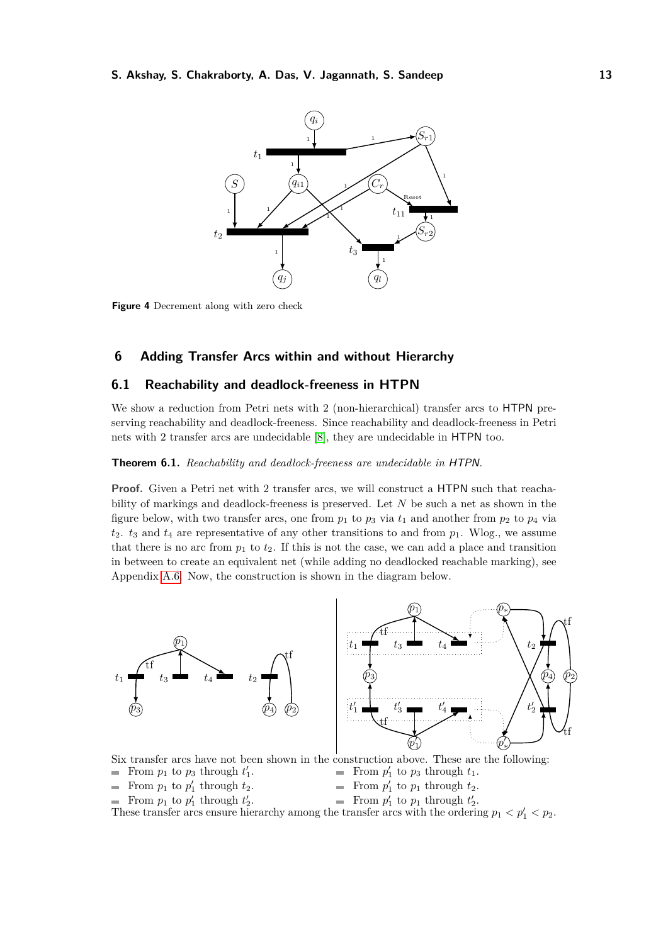<span id="page-12-2"></span>

**Figure 4** Decrement along with zero check

# <span id="page-12-0"></span>**6 Adding Transfer Arcs within and without Hierarchy**

# <span id="page-12-3"></span>**6.1 Reachability and deadlock-freeness in HTPN**

We show a reduction from Petri nets with 2 (non-hierarchical) transfer arcs to HTPN preserving reachability and deadlock-freeness. Since reachability and deadlock-freeness in Petri nets with 2 transfer arcs are undecidable [\[8\]](#page-15-1), they are undecidable in HTPN too.

### <span id="page-12-1"></span>**Theorem 6.1.** *Reachability and deadlock-freeness are undecidable in* HTPN*.*

Proof. Given a Petri net with 2 transfer arcs, we will construct a HTPN such that reachability of markings and deadlock-freeness is preserved. Let *N* be such a net as shown in the figure below, with two transfer arcs, one from  $p_1$  to  $p_3$  via  $t_1$  and another from  $p_2$  to  $p_4$  via  $t_2$ .  $t_3$  and  $t_4$  are representative of any other transitions to and from  $p_1$ . Wlog., we assume that there is no arc from  $p_1$  to  $t_2$ . If this is not the case, we can add a place and transition in between to create an equivalent net (while adding no deadlocked reachable marking), see Appendix [A.6.](#page-29-0) Now, the construction is shown in the diagram below.



Six transfer arcs have not been shown in the construction above. These are the following:

- From  $p_1$  to  $p_3$  through  $t'_1$ .
- From  $p'_1$  to  $p_3$  through  $t_1$ .
- From  $p_1$  to  $p'_1$  through  $t_2$ .
- From  $p'_1$  to  $p_1$  through  $t_2$ .
- From  $p_1$  to  $p'_1$  through  $t'_2$ .
- From  $p'_1$  to  $p_1$  through  $t'_2$ .

These transfer arcs ensure hierarchy among the transfer arcs with the ordering  $p_1 < p_1' < p_2$ .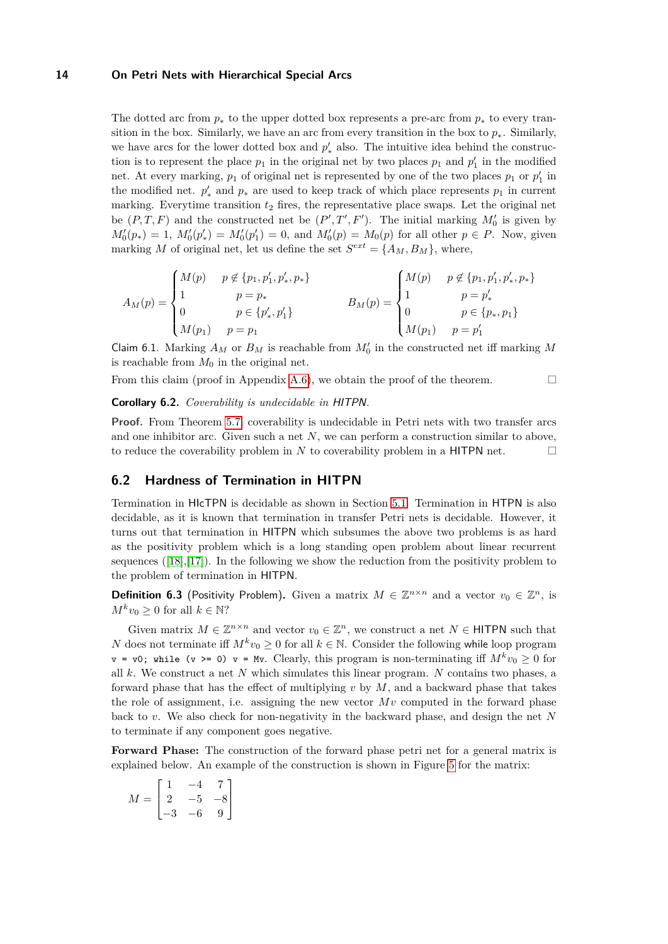The dotted arc from  $p_*$  to the upper dotted box represents a pre-arc from  $p_*$  to every transition in the box. Similarly, we have an arc from every transition in the box to  $p_{*}$ . Similarly, we have arcs for the lower dotted box and  $p'_{*}$  also. The intuitive idea behind the construction is to represent the place  $p_1$  in the original net by two places  $p_1$  and  $p'_1$  in the modified net. At every marking,  $p_1$  of original net is represented by one of the two places  $p_1$  or  $p'_1$  in the modified net.  $p'_{*}$  and  $p_{*}$  are used to keep track of which place represents  $p_{1}$  in current marking. Everytime transition  $t_2$  fires, the representative place swaps. Let the original net be  $(P, T, F)$  and the constructed net be  $(P', T', F')$ . The initial marking  $M'_0$  is given by  $M_0'(p_*) = 1$ ,  $M_0'(p'_*) = M_0'(p'_1) = 0$ , and  $M_0'(p) = M_0(p)$  for all other  $p \in P$ . Now, given marking *M* of original net, let us define the set  $S^{ext} = \{A_M, B_M\}$ , where,

$$
A_M(p) = \begin{cases} M(p) & p \notin \{p_1, p_1', p_*, p_*\} \\ 1 & p = p_* \\ 0 & p \in \{p_*', p_1'\} \\ M(p_1) & p = p_1 \end{cases} \qquad B_M(p) = \begin{cases} M(p) & p \notin \{p_1, p_1', p_*, p_*\} \\ 1 & p = p_*' \\ 0 & p \in \{p_*, p_1\} \\ M(p_1) & p = p_1' \end{cases}
$$

Claim 6.1. Marking  $A_M$  or  $B_M$  is reachable from  $M'_0$  in the constructed net iff marking M is reachable from  $M_0$  in the original net.

From this claim (proof in Appendix [A.6\)](#page-29-0), we obtain the proof of the theorem.

<span id="page-13-1"></span>**Corollary 6.2.** *Coverability is undecidable in* HITPN*.*

**Proof.** From Theorem [5.7,](#page-10-0) coverability is undecidable in Petri nets with two transfer arcs and one inhibitor arc. Given such a net *N*, we can perform a construction similar to above, to reduce the coverability problem in  $N$  to coverability problem in a HITPN net.  $\Box$ 

# <span id="page-13-0"></span>**6.2 Hardness of Termination in HITPN**

Termination in HIcTPN is decidable as shown in Section [5.1.](#page-8-3) Termination in HTPN is also decidable, as it is known that termination in transfer Petri nets is decidable. However, it turns out that termination in HITPN which subsumes the above two problems is as hard as the positivity problem which is a long standing open problem about linear recurrent sequences  $([18],[17])$  $([18],[17])$  $([18],[17])$  $([18],[17])$  $([18],[17])$ . In the following we show the reduction from the positivity problem to the problem of termination in HITPN.

**Definition 6.3** (Positivity Problem). Given a matrix  $M \in \mathbb{Z}^{n \times n}$  and a vector  $v_0 \in \mathbb{Z}^n$ , is  $M^k v_0 > 0$  for all  $k \in \mathbb{N}$ ?

Given matrix  $M \in \mathbb{Z}^{n \times n}$  and vector  $v_0 \in \mathbb{Z}^n$ , we construct a net  $N \in \mathsf{HITPN}$  such that *N* does not terminate iff  $M^k v_0 \geq 0$  for all  $k \in \mathbb{N}$ . Consider the following while loop program  $v = v0$ ; while (v >= 0)  $v = Mv$ . Clearly, this program is non-terminating iff  $M^k v_0 \ge 0$  for all *k*. We construct a net *N* which simulates this linear program. *N* contains two phases, a forward phase that has the effect of multiplying *v* by *M*, and a backward phase that takes the role of assignment, i.e. assigning the new vector  $Mv$  computed in the forward phase back to *v*. We also check for non-negativity in the backward phase, and design the net *N* to terminate if any component goes negative.

Forward Phase: The construction of the forward phase petri net for a general matrix is explained below. An example of the construction is shown in Figure [5](#page-14-0) for the matrix:

$$
M = \begin{bmatrix} 1 & -4 & 7 \\ 2 & -5 & -8 \\ -3 & -6 & 9 \end{bmatrix}
$$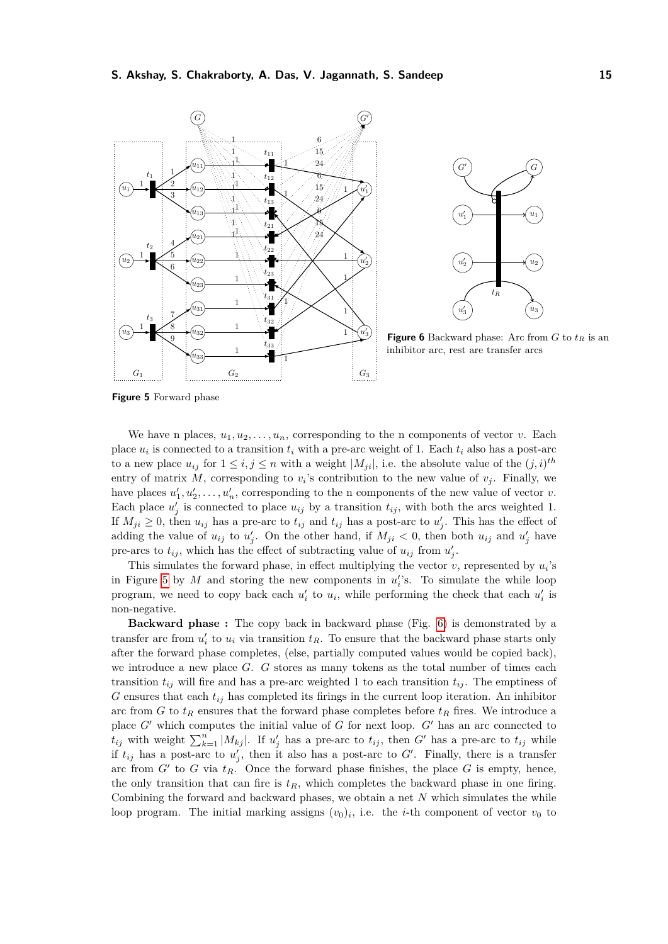<span id="page-14-0"></span>

**Figure 5** Forward phase

We have n places,  $u_1, u_2, \ldots, u_n$ , corresponding to the n components of vector *v*. Each place  $u_i$  is connected to a transition  $t_i$  with a pre-arc weight of 1. Each  $t_i$  also has a post-arc to a new place  $u_{ij}$  for  $1 \leq i, j \leq n$  with a weight  $|M_{ji}|$ , i.e. the absolute value of the  $(j, i)^{th}$ entry of matrix M, corresponding to  $v_i$ 's contribution to the new value of  $v_j$ . Finally, we have places  $u'_1, u'_2, \ldots, u'_n$ , corresponding to the n components of the new value of vector *v*. Each place  $u'_{j}$  is connected to place  $u_{ij}$  by a transition  $t_{ij}$ , with both the arcs weighted 1. If  $M_{ji} \geq 0$ , then  $u_{ij}$  has a pre-arc to  $t_{ij}$  and  $t_{ij}$  has a post-arc to  $u'_{j}$ . This has the effect of adding the value of  $u_{ij}$  to  $u'_{j}$ . On the other hand, if  $M_{ji} < 0$ , then both  $u_{ij}$  and  $u'_{j}$  have pre-arcs to  $t_{ij}$ , which has the effect of subtracting value of  $u_{ij}$  from  $u'_{j}$ .

This simulates the forward phase, in effect multiplying the vector  $v$ , represented by  $u_i$ 's in Figure [5](#page-14-0) by  $M$  and storing the new components in  $u_i$ 's. To simulate the while loop program, we need to copy back each  $u'_{i}$  to  $u_{i}$ , while performing the check that each  $u'_{i}$  is non-negative.

**Backward phase :** The copy back in backward phase (Fig. [6\)](#page-14-0) is demonstrated by a transfer arc from  $u_i'$  to  $u_i$  via transition  $t_R$ . To ensure that the backward phase starts only after the forward phase completes, (else, partially computed values would be copied back), we introduce a new place *G*. *G* stores as many tokens as the total number of times each transition  $t_{ij}$  will fire and has a pre-arc weighted 1 to each transition  $t_{ij}$ . The emptiness of  $G$  ensures that each  $t_{ij}$  has completed its firings in the current loop iteration. An inhibitor arc from *G* to  $t_R$  ensures that the forward phase completes before  $t_R$  fires. We introduce a place  $G'$  which computes the initial value of  $G$  for next loop.  $G'$  has an arc connected to  $t_{ij}$  with weight  $\sum_{k=1}^{n} |M_{kj}|$ . If  $u'_{j}$  has a pre-arc to  $t_{ij}$ , then *G*<sup> $\prime$ </sup> has a pre-arc to  $t_{ij}$  while if  $t_{ij}$  has a post-arc to  $u'_{j}$ , then it also has a post-arc to G'. Finally, there is a transfer arc from  $G'$  to  $G$  via  $t_R$ . Once the forward phase finishes, the place  $G$  is empty, hence, the only transition that can fire is  $t_R$ , which completes the backward phase in one firing. Combining the forward and backward phases, we obtain a net *N* which simulates the while loop program. The initial marking assigns  $(v_0)_i$ , i.e. the *i*-th component of vector  $v_0$  to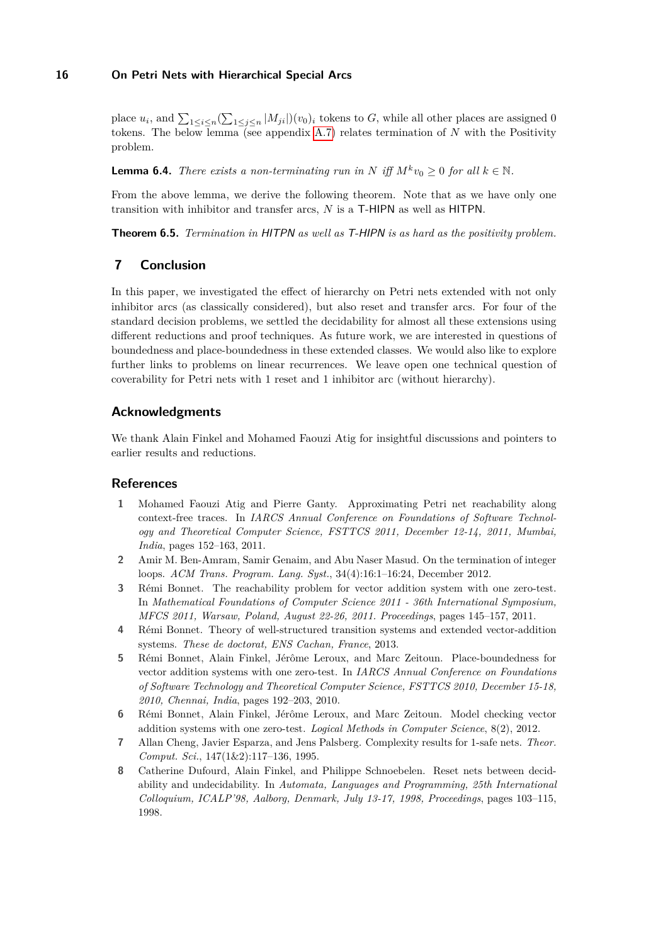place  $u_i$ , and  $\sum_{1 \le i \le n} (\sum_{1 \le j \le n} |M_{ji}|)(v_0)_i$  tokens to *G*, while all other places are assigned 0 tokens. The below  $\overline{\text{lemma}}$  (see appendix [A.7\)](#page-30-0) relates termination of N with the Positivity problem.

<span id="page-15-9"></span>**Lemma 6.4.** *There exists a non-terminating run in N iff*  $M^k v_0 \geq 0$  *for all*  $k \in \mathbb{N}$ *.* 

From the above lemma, we derive the following theorem. Note that as we have only one transition with inhibitor and transfer arcs, *N* is a T-HIPN as well as HITPN.

<span id="page-15-8"></span>**Theorem 6.5.** *Termination in* HITPN *as well as* T-HIPN *is as hard as the positivity problem.*

# **7 Conclusion**

In this paper, we investigated the effect of hierarchy on Petri nets extended with not only inhibitor arcs (as classically considered), but also reset and transfer arcs. For four of the standard decision problems, we settled the decidability for almost all these extensions using different reductions and proof techniques. As future work, we are interested in questions of boundedness and place-boundedness in these extended classes. We would also like to explore further links to problems on linear recurrences. We leave open one technical question of coverability for Petri nets with 1 reset and 1 inhibitor arc (without hierarchy).

# **Acknowledgments**

We thank Alain Finkel and Mohamed Faouzi Atig for insightful discussions and pointers to earlier results and reductions.

# **References**

- <span id="page-15-3"></span>**1** Mohamed Faouzi Atig and Pierre Ganty. Approximating Petri net reachability along context-free traces. In *IARCS Annual Conference on Foundations of Software Technology and Theoretical Computer Science, FSTTCS 2011, December 12-14, 2011, Mumbai, India*, pages 152–163, 2011.
- <span id="page-15-6"></span>**2** Amir M. Ben-Amram, Samir Genaim, and Abu Naser Masud. On the termination of integer loops. *ACM Trans. Program. Lang. Syst.*, 34(4):16:1–16:24, December 2012.
- <span id="page-15-2"></span>**3** Rémi Bonnet. The reachability problem for vector addition system with one zero-test. In *Mathematical Foundations of Computer Science 2011 - 36th International Symposium, MFCS 2011, Warsaw, Poland, August 22-26, 2011. Proceedings*, pages 145–157, 2011.
- <span id="page-15-0"></span>**4** Rémi Bonnet. Theory of well-structured transition systems and extended vector-addition systems. *These de doctorat, ENS Cachan, France*, 2013.
- <span id="page-15-4"></span>**5** Rémi Bonnet, Alain Finkel, Jérôme Leroux, and Marc Zeitoun. Place-boundedness for vector addition systems with one zero-test. In *IARCS Annual Conference on Foundations of Software Technology and Theoretical Computer Science, FSTTCS 2010, December 15-18, 2010, Chennai, India*, pages 192–203, 2010.
- <span id="page-15-5"></span>**6** Rémi Bonnet, Alain Finkel, Jérôme Leroux, and Marc Zeitoun. Model checking vector addition systems with one zero-test. *Logical Methods in Computer Science*, 8(2), 2012.
- <span id="page-15-7"></span>**7** Allan Cheng, Javier Esparza, and Jens Palsberg. Complexity results for 1-safe nets. *Theor. Comput. Sci.*, 147(1&2):117–136, 1995.
- <span id="page-15-1"></span>**8** Catherine Dufourd, Alain Finkel, and Philippe Schnoebelen. Reset nets between decidability and undecidability. In *Automata, Languages and Programming, 25th International Colloquium, ICALP'98, Aalborg, Denmark, July 13-17, 1998, Proceedings*, pages 103–115, 1998.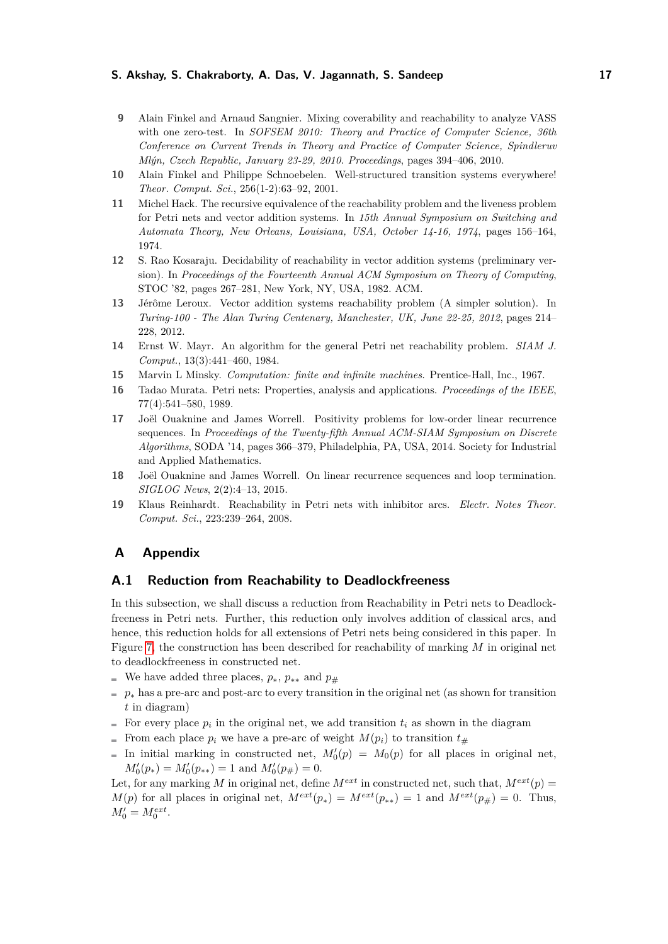- <span id="page-16-3"></span>**9** Alain Finkel and Arnaud Sangnier. Mixing coverability and reachability to analyze VASS with one zero-test. In *SOFSEM 2010: Theory and Practice of Computer Science, 36th Conference on Current Trends in Theory and Practice of Computer Science, Spindleruv Mlýn, Czech Republic, January 23-29, 2010. Proceedings*, pages 394–406, 2010.
- <span id="page-16-2"></span>**10** Alain Finkel and Philippe Schnoebelen. Well-structured transition systems everywhere! *Theor. Comput. Sci.*, 256(1-2):63–92, 2001.
- <span id="page-16-9"></span>**11** Michel Hack. The recursive equivalence of the reachability problem and the liveness problem for Petri nets and vector addition systems. In *15th Annual Symposium on Switching and Automata Theory, New Orleans, Louisiana, USA, October 14-16, 1974*, pages 156–164, 1974.
- <span id="page-16-7"></span>**12** S. Rao Kosaraju. Decidability of reachability in vector addition systems (preliminary version). In *Proceedings of the Fourteenth Annual ACM Symposium on Theory of Computing*, STOC '82, pages 267–281, New York, NY, USA, 1982. ACM.
- <span id="page-16-1"></span>**13** Jérôme Leroux. Vector addition systems reachability problem (A simpler solution). In *Turing-100 - The Alan Turing Centenary, Manchester, UK, June 22-25, 2012*, pages 214– 228, 2012.
- <span id="page-16-8"></span>**14** Ernst W. Mayr. An algorithm for the general Petri net reachability problem. *SIAM J. Comput.*, 13(3):441–460, 1984.
- <span id="page-16-10"></span>**15** Marvin L Minsky. *Computation: finite and infinite machines*. Prentice-Hall, Inc., 1967.
- <span id="page-16-6"></span>**16** Tadao Murata. Petri nets: Properties, analysis and applications. *Proceedings of the IEEE*, 77(4):541–580, 1989.
- <span id="page-16-4"></span>**17** Joël Ouaknine and James Worrell. Positivity problems for low-order linear recurrence sequences. In *Proceedings of the Twenty-fifth Annual ACM-SIAM Symposium on Discrete Algorithms*, SODA '14, pages 366–379, Philadelphia, PA, USA, 2014. Society for Industrial and Applied Mathematics.
- <span id="page-16-5"></span>**18** Joël Ouaknine and James Worrell. On linear recurrence sequences and loop termination. *SIGLOG News*, 2(2):4–13, 2015.
- <span id="page-16-0"></span>**19** Klaus Reinhardt. Reachability in Petri nets with inhibitor arcs. *Electr. Notes Theor. Comput. Sci.*, 223:239–264, 2008.

### **A Appendix**

### **A.1 Reduction from Reachability to Deadlockfreeness**

In this subsection, we shall discuss a reduction from Reachability in Petri nets to Deadlockfreeness in Petri nets. Further, this reduction only involves addition of classical arcs, and hence, this reduction holds for all extensions of Petri nets being considered in this paper. In Figure [7,](#page-17-0) the construction has been described for reachability of marking *M* in original net to deadlockfreeness in constructed net.

- We have added three places,  $p_*, p_{**}$  and  $p_{\#}$
- $p^*$  has a pre-arc and post-arc to every transition in the original net (as shown for transition *t* in diagram)
- For every place  $p_i$  in the original net, we add transition  $t_i$  as shown in the diagram
- From each place  $p_i$  we have a pre-arc of weight  $M(p_i)$  to transition  $t_{\#}$
- In initial marking in constructed net,  $M'_0(p) = M_0(p)$  for all places in original net,  $M'_0(p_*) = M'_0(p_{**}) = 1$  and  $M'_0(p_{\#}) = 0$ .

Let, for any marking *M* in original net, define  $M^{ext}$  in constructed net, such that,  $M^{ext}(p)$  = *M*(*p*) for all places in original net,  $M^{ext}(p_*) = M^{ext}(p_{**}) = 1$  and  $M^{ext}(p_*) = 0$ . Thus,  $M'_0 = M_0^{ext}$ .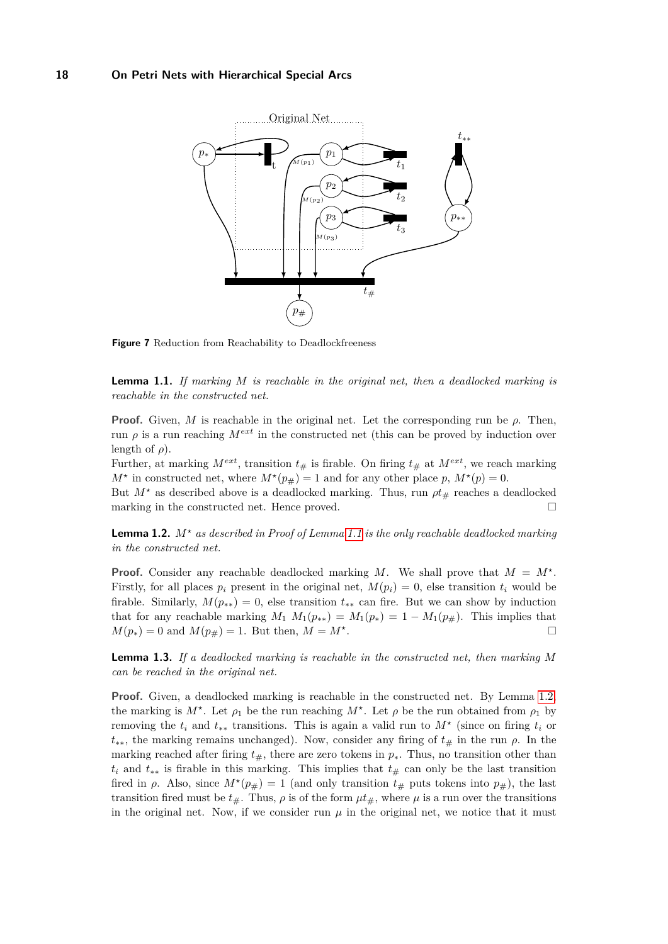<span id="page-17-0"></span>

**Figure 7** Reduction from Reachability to Deadlockfreeness

<span id="page-17-1"></span>**Lemma 1.1.** *If marking M is reachable in the original net, then a deadlocked marking is reachable in the constructed net.*

**Proof.** Given, *M* is reachable in the original net. Let the corresponding run be  $\rho$ . Then, run  $\rho$  is a run reaching  $M^{ext}$  in the constructed net (this can be proved by induction over length of  $\rho$ ).

Further, at marking  $M^{ext}$ , transition  $t_{\#}$  is firable. On firing  $t_{\#}$  at  $M^{ext}$ , we reach marking  $M^*$  in constructed net, where  $M^*(p_{\#}) = 1$  and for any other place  $p$ ,  $M^*(p) = 0$ .

But  $M^*$  as described above is a deadlocked marking. Thus, run  $\rho t_{\#}$  reaches a deadlocked marking in the constructed net. Hence proved.  $\hfill \Box$ 

<span id="page-17-2"></span>**Lemma 1.2.** *M? as described in Proof of Lemma [1.1](#page-17-1) is the only reachable deadlocked marking in the constructed net.*

**Proof.** Consider any reachable deadlocked marking *M*. We shall prove that  $M = M^*$ . Firstly, for all places  $p_i$  present in the original net,  $M(p_i) = 0$ , else transition  $t_i$  would be firable. Similarly,  $M(p_{**}) = 0$ , else transition  $t_{**}$  can fire. But we can show by induction that for any reachable marking  $M_1$   $M_1(p_{**}) = M_1(p_*) = 1 - M_1(p_{\#})$ . This implies that  $M(p_*) = 0$  and  $M(p_{\#}) = 1$ . But then,  $M = M^*$ . .

**Lemma 1.3.** *If a deadlocked marking is reachable in the constructed net, then marking M can be reached in the original net.*

**Proof.** Given, a deadlocked marking is reachable in the constructed net. By Lemma [1.2,](#page-17-2) the marking is  $M^*$ . Let  $\rho_1$  be the run reaching  $M^*$ . Let  $\rho$  be the run obtained from  $\rho_1$  by removing the  $t_i$  and  $t_{**}$  transitions. This is again a valid run to  $M^*$  (since on firing  $t_i$  or  $t_{**}$ , the marking remains unchanged). Now, consider any firing of  $t_{\#}$  in the run  $\rho$ . In the marking reached after firing  $t_{\#}$ , there are zero tokens in  $p_{*}$ . Thus, no transition other than  $t_i$  and  $t_{**}$  is firable in this marking. This implies that  $t_{\#}$  can only be the last transition fired in  $\rho$ . Also, since  $M^*(p_{\#}) = 1$  (and only transition  $t_{\#}$  puts tokens into  $p_{\#}$ ), the last transition fired must be  $t_{\#}$ . Thus,  $\rho$  is of the form  $\mu t_{\#}$ , where  $\mu$  is a run over the transitions in the original net. Now, if we consider run  $\mu$  in the original net, we notice that it must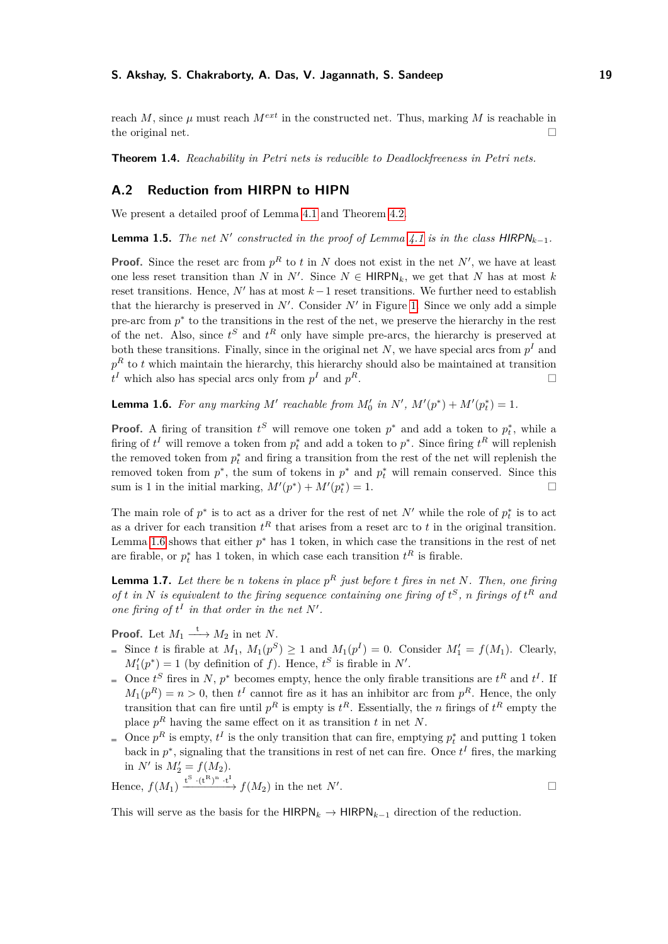reach *M*, since  $\mu$  must reach  $M^{ext}$  in the constructed net. Thus, marking *M* is reachable in the original net.

**Theorem 1.4.** *Reachability in Petri nets is reducible to Deadlockfreeness in Petri nets.*

# <span id="page-18-0"></span>**A.2 Reduction from HIRPN to HIPN**

We present a detailed proof of Lemma [4.1](#page-5-2) and Theorem [4.2.](#page-6-0)

**Lemma 1.5.** *The net*  $N'$  *constructed in the proof of Lemma [4.1](#page-5-2) is in the class*  $HIRPN_{k-1}$ *.* 

**Proof.** Since the reset arc from  $p<sup>R</sup>$  to *t* in *N* does not exist in the net *N'*, we have at least one less reset transition than *N* in  $N'$ . Since  $N \in \text{HIRPN}_k$ , we get that *N* has at most *k* reset transitions. Hence,  $N'$  has at most  $k-1$  reset transitions. We further need to establish that the hierarchy is preserved in  $N'$ . Consider  $N'$  in Figure [1.](#page-6-1) Since we only add a simple pre-arc from  $p^*$  to the transitions in the rest of the net, we preserve the hierarchy in the rest of the net. Also, since  $t^S$  and  $t^R$  only have simple pre-arcs, the hierarchy is preserved at both these transitions. Finally, since in the original net  $N$ , we have special arcs from  $p<sup>I</sup>$  and  $p<sup>R</sup>$  to *t* which maintain the hierarchy, this hierarchy should also be maintained at transition  $t<sup>I</sup>$  which also has special arcs only from  $p<sup>I</sup>$  and *p <sup>R</sup>*.

<span id="page-18-1"></span>**Lemma 1.6.** For any marking M' reachable from  $M'_0$  in  $N'$ ,  $M'(p^*) + M'(p_t^*) = 1$ .

**Proof.** A firing of transition  $t^S$  will remove one token  $p^*$  and add a token to  $p_t^*$ , while a firing of  $t^I$  will remove a token from  $p_t^*$  and add a token to  $p^*$ . Since firing  $t^R$  will replenish the removed token from  $p_t^*$  and firing a transition from the rest of the net will replenish the removed token from  $p^*$ , the sum of tokens in  $p^*$  and  $p_t^*$  will remain conserved. Since this sum is 1 in the initial marking,  $M'(p^*) + M'(p_t^*) = 1$ .

The main role of  $p^*$  is to act as a driver for the rest of net  $N'$  while the role of  $p_t^*$  is to act as a driver for each transition *t <sup>R</sup>* that arises from a reset arc to *t* in the original transition. Lemma [1.6](#page-18-1) shows that either  $p^*$  has 1 token, in which case the transitions in the rest of net are firable, or  $p_t^*$  has 1 token, in which case each transition  $t^R$  is firable.

<span id="page-18-2"></span>**Lemma 1.7.** *Let there be n tokens in place p <sup>R</sup> just before t fires in net N. Then, one firing of t in N is equivalent to the firing sequence containing one firing of*  $t^S$ *, n firings of*  $t^R$  *and one firing of*  $t^I$  *in that order in the net*  $N'$ *.* 

**Proof.** Let  $M_1 \xrightarrow{t} M_2$  in net *N*.

- Since *t* is firable at  $M_1$ ,  $M_1(p^S) \ge 1$  and  $M_1(p^I) = 0$ . Consider  $M'_1 = f(M_1)$ . Clearly,  $M_1'(p^*) = 1$  (by definition of *f*). Hence,  $t^S$  is firable in *N'*.
- Once  $t^S$  fires in *N*,  $p^*$  becomes empty, hence the only firable transitions are  $t^R$  and  $t^I$ . If  $M_1(p^R) = n > 0$ , then  $t^I$  cannot fire as it has an inhibitor arc from  $p^R$ . Hence, the only transition that can fire until  $p^R$  is empty is  $t^R$ . Essentially, the *n* firings of  $t^R$  empty the place *p <sup>R</sup>* having the same effect on it as transition *t* in net *N*.
- Once  $p^R$  is empty,  $t^I$  is the only transition that can fire, emptying  $p_t^*$  and putting 1 token back in  $p^*$ , signaling that the transitions in rest of net can fire. Once  $t^I$  fires, the marking in *N'* is  $M'_2 = f(M_2)$ .

Hence, 
$$
f(M_1) \xrightarrow{t^S \cdot (t^R)^n \cdot t^I} f(M_2)
$$
 in the net N'.

This will serve as the basis for the  $HIRPN_k \rightarrow HIRPN_{k-1}$  direction of the reduction.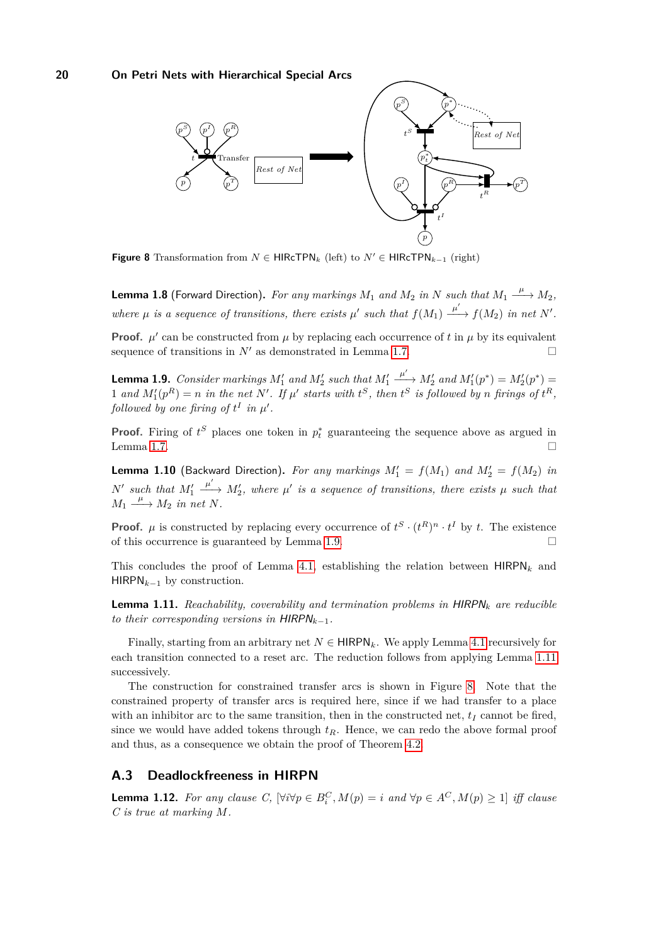<span id="page-19-3"></span>

**Figure 8** Transformation from  $N \in \text{HIRcTPN}_k$  (left) to  $N' \in \text{HIRcTPN}_{k-1}$  (right)

**Lemma 1.8** (Forward Direction). For any markings  $M_1$  and  $M_2$  in  $N$  such that  $M_1 \stackrel{\mu}{\longrightarrow} M_2$ , where  $\mu$  is a sequence of transitions, there exists  $\mu'$  such that  $f(M_1) \xrightarrow{\mu'} f(M_2)$  in net N'.

**Proof.**  $\mu'$  can be constructed from  $\mu$  by replacing each occurrence of t in  $\mu$  by its equivalent sequence of transitions in  $N'$  as demonstrated in Lemma [1.7.](#page-18-2)

<span id="page-19-1"></span>**Lemma 1.9.** *Consider markings*  $M'_1$  *and*  $M'_2$  *such that*  $M'_1$  $\frac{\mu'}{\sigma} M_2'$  and  $M_1'(p^*) = M_2'(p^*) =$ 1 and  $M'_1(p^R) = n$  in the net N'. If  $\mu'$  starts with  $t^S$ , then  $t^S$  is followed by n firings of  $t^R$ , *followed by one firing of*  $t^I$  *in*  $\mu'$ *.* 

**Proof.** Firing of  $t^S$  places one token in  $p_t^*$  guaranteeing the sequence above as argued in Lemma [1.7.](#page-18-2)  $\Box$ 

**Lemma 1.10** (Backward Direction). For any markings  $M'_1 = f(M_1)$  and  $M'_2 = f(M_2)$  in  $N'$  such that  $M'_1$  $\frac{\mu'}{\sigma}$  *M*<sub>2</sub>, where  $\mu'$  is a sequence of transitions, there exists  $\mu$  such that  $M_1 \xrightarrow{\mu} M_2$  *in net N.* 

**Proof.**  $\mu$  is constructed by replacing every occurrence of  $t^S \cdot (t^R)^n \cdot t^I$  by *t*. The existence of this occurrence is guaranteed by Lemma [1.9.](#page-19-1)

This concludes the proof of Lemma [4.1,](#page-5-2) establishing the relation between  $HIRPN<sub>k</sub>$  and HIRPN*k*−<sup>1</sup> by construction.

<span id="page-19-2"></span>**Lemma 1.11.** *Reachability, coverability and termination problems in* HIRPN*<sup>k</sup> are reducible to their corresponding versions in*  $HIRPN_{k-1}$ .

Finally, starting from an arbitrary net  $N \in \mathsf{HIRPN}_k$ . We apply Lemma [4.1](#page-5-2) recursively for each transition connected to a reset arc. The reduction follows from applying Lemma [1.11](#page-19-2) successively.

The construction for constrained transfer arcs is shown in Figure [8.](#page-19-3) Note that the constrained property of transfer arcs is required here, since if we had transfer to a place with an inhibitor arc to the same transition, then in the constructed net,  $t_I$  cannot be fired, since we would have added tokens through  $t_R$ . Hence, we can redo the above formal proof and thus, as a consequence we obtain the proof of Theorem [4.2.](#page-6-0)

# <span id="page-19-0"></span>**A.3 Deadlockfreeness in HIRPN**

<span id="page-19-4"></span>**Lemma 1.12.** For any clause C,  $[\forall i \forall p \in B_i^C, M(p) = i$  and  $\forall p \in A^C, M(p) \geq 1]$  *iff clause C is true at marking M.*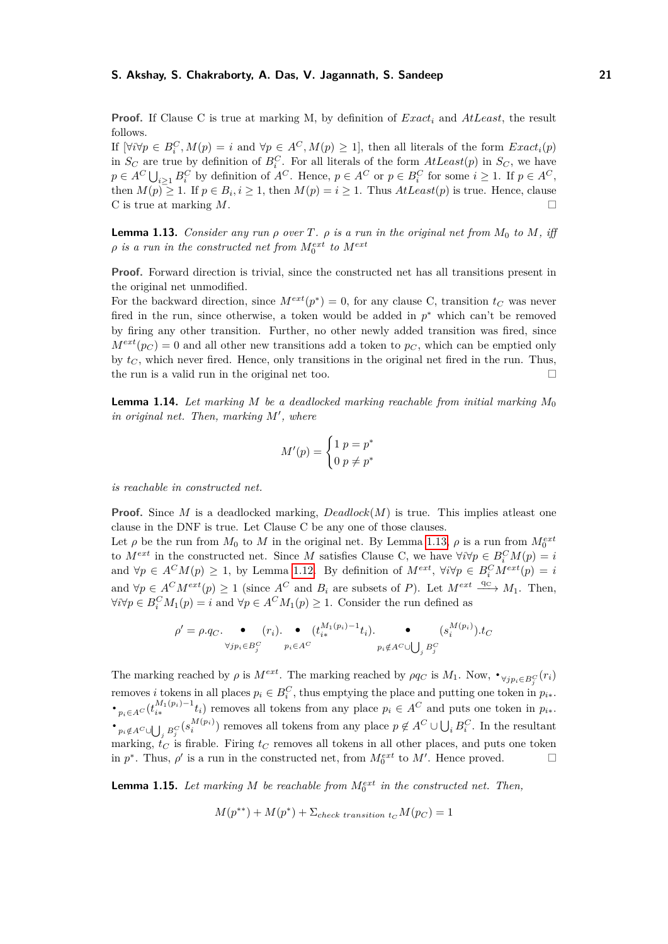**Proof.** If Clause C is true at marking M, by definition of *Exact<sup>i</sup>* and *AtLeast*, the result follows.

If  $[\forall i \forall p \in B_i^C, M(p) = i$  and  $\forall p \in A^C, M(p) \ge 1]$ , then all literals of the form  $Exact_i(p)$ in  $S_C$  are true by definition of  $B_i^C$ . For all literals of the form  $AtLeast(p)$  in  $S_C$ , we have  $p \in A^C \bigcup_{i \geq 1} B_i^C$  by definition of  $A^C$ . Hence,  $p \in A^C$  or  $p \in B_i^C$  for some  $i \geq 1$ . If  $p \in A^C$ , then  $M(p) \geq 1$ . If  $p \in B_i$ ,  $i \geq 1$ , then  $M(p) = i \geq 1$ . Thus  $AtLeast(p)$  is true. Hence, clause C is true at marking *M*.

<span id="page-20-0"></span>**Lemma 1.13.** *Consider any run*  $\rho$  *over*  $T$ *.*  $\rho$  *is a run in the original net from*  $M_0$  *to*  $M$ *, iff*  $\rho$  *is a run in the constructed net from*  $M_0^{ext}$  *to*  $M^{ext}$ 

**Proof.** Forward direction is trivial, since the constructed net has all transitions present in the original net unmodified.

For the backward direction, since  $M^{ext}(p^*) = 0$ , for any clause C, transition  $t_C$  was never fired in the run, since otherwise, a token would be added in  $p^*$  which can't be removed by firing any other transition. Further, no other newly added transition was fired, since  $M^{ext}(p_C) = 0$  and all other new transitions add a token to  $p_C$ , which can be emptied only by  $t_C$ , which never fired. Hence, only transitions in the original net fired in the run. Thus, the run is a valid run in the original net too.  $\Box$ 

<span id="page-20-2"></span>**Lemma 1.14.** Let marking M be a deadlocked marking reachable from initial marking  $M_0$ *in original net. Then, marking*  $M'$ *, where* 

$$
M'(p) = \begin{cases} 1 & p = p^* \\ 0 & p \neq p^* \end{cases}
$$

*is reachable in constructed net.*

**Proof.** Since *M* is a deadlocked marking,  $Deadlock(M)$  is true. This implies at least one clause in the DNF is true. Let Clause C be any one of those clauses.

Let  $\rho$  be the run from  $M_0$  to  $M$  in the original net. By Lemma [1.13,](#page-20-0)  $\rho$  is a run from  $M_0^{ext}$ to  $M^{ext}$  in the constructed net. Since *M* satisfies Clause C, we have  $\forall i \forall p \in B_i^C M(p) = i$ and  $\forall p \in A^C M(p) \geq 1$ , by Lemma [1.12.](#page-19-4) By definition of  $M^{ext}$ ,  $\forall i \forall p \in B_i^C M^{ext}(p) = i$ and  $\forall p \in A^C M^{ext}(p) \geq 1$  (since  $A^C$  and  $B_i$  are subsets of *P*). Let  $M^{ext} \stackrel{\text{qc} \to \text{qc} \to M_1$ . Then,  $\forall i \forall p \in B_i^C M_1(p) = i$  and  $\forall p \in A^C M_1(p) \geq 1$ . Consider the run defined as

$$
\rho' = \rho.q_C. \qquad \bullet \qquad (r_i). \qquad \bullet \qquad (t_{i*}^{M_1(p_i)-1}t_i). \qquad \bullet \qquad (s_i^{M(p_i)}).t_C
$$

$$
\forall j p_i \in B_j^C \qquad p_i \in A^C \qquad \qquad p_i \notin A^C \cup \bigcup_j B_j^C
$$

The marking reached by  $\rho$  is  $M^{ext}$ . The marking reached by  $\rho q_C$  is  $M_1$ . Now,  $\bullet_{\forall j p_i \in B_j^C}(r_i)$ *i* removes *i* tokens in all places  $p_i \in B_i^C$ , thus emptying the place and putting one token in  $p_{i*}$ .  $\cdot_{p_i \in A^C} (t_{i*}^{M_1(p_i)-1}t_i)$  removes all tokens from any place  $p_i \in A^C$  and puts one token in  $p_{i*}.$  $\cdot_{p_i \notin A^C \cup \bigcup_j B_j^C} (s_i^{M(p_i)})$  removes all tokens from any place  $p \notin A^C \cup \bigcup_i B_i^C$ . In the resultant marking,  $t_C$  is firable. Firing  $t_C$  removes all tokens in all other places, and puts one token in  $p^*$ . Thus,  $\rho'$  is a run in the constructed net, from  $M_0^{ext}$  to  $M'$ . Hence proved.

<span id="page-20-1"></span>**Lemma 1.15.** Let marking  $M$  be reachable from  $M_0^{ext}$  in the constructed net. Then,

$$
M(p^{**}) + M(p^*) + \Sigma_{check\ transition\ to\ } M(p_C) = 1
$$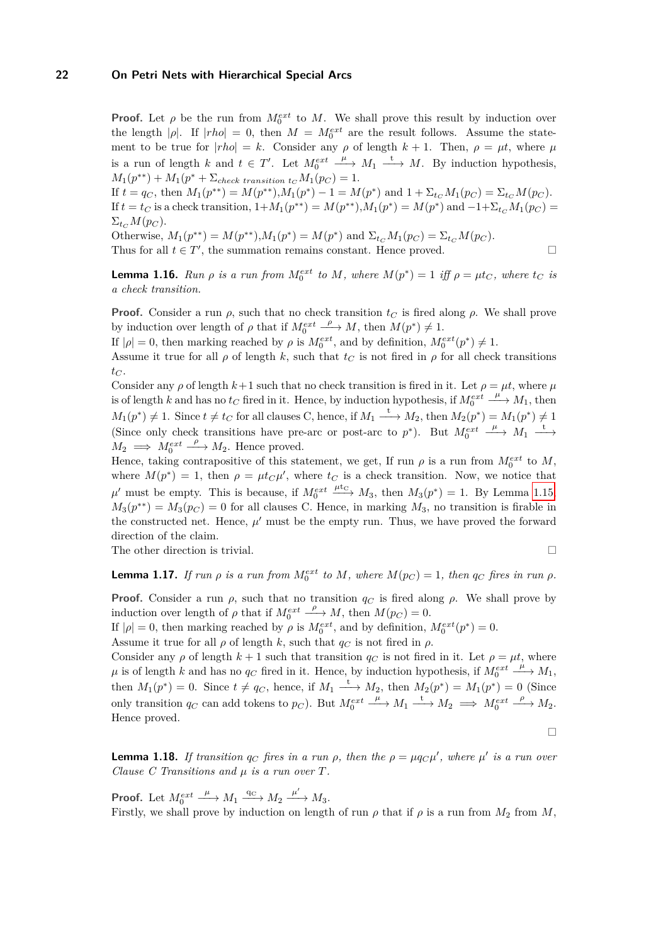**Proof.** Let  $\rho$  be the run from  $M_0^{ext}$  to M. We shall prove this result by induction over the length  $|\rho|$ . If  $|rho| = 0$ , then  $M = M_0^{ext}$  are the result follows. Assume the statement to be true for  $|rho| = k$ . Consider any  $\rho$  of length  $k + 1$ . Then,  $\rho = \mu t$ , where  $\mu$ is a run of length *k* and  $t \in T'$ . Let  $M_0^{ext}$  $\stackrel{\mu}{\longrightarrow} M_1 \stackrel{\mathbf{t}}{\longrightarrow} M$ . By induction hypothesis,  $M_1(p^{**}) + M_1(p^{*} + \sum_{check transition \ t_C} M_1(p_C) = 1.$ 

If  $t = q_C$ , then  $M_1(p^{**}) = M(p^{**}), M_1(p^*) - 1 = M(p^*)$  and  $1 + \Sigma_{t_C} M_1(p_C) = \Sigma_{t_C} M(p_C)$ . If  $t = t_C$  is a check transition,  $1 + M_1(p^{**}) = M(p^{**}), M_1(p^*) = M(p^*)$  and  $-1 + \sum_{t_C} M_1(p_C) =$  $\Sigma_{tc} M(p_C)$ .

Otherwise,  $M_1(p^{**}) = M(p^{**}), M_1(p^{*}) = M(p^{*})$  and  $\Sigma_{t_C} M_1(p_C) = \Sigma_{t_C} M(p_C)$ . Thus for all  $t \in T'$ , the summation remains constant. Hence proved.

<span id="page-21-2"></span>**Lemma 1.16.** *Run*  $\rho$  *is a run from*  $M_0^{ext}$  *to*  $M$ *, where*  $M(p^*) = 1$  *iff*  $\rho = \mu t_C$ *, where*  $t_C$  *is a check transition.*

**Proof.** Consider a run  $\rho$ , such that no check transition  $t_C$  is fired along  $\rho$ . We shall prove by induction over length of  $\rho$  that if  $M_0^{ext}$  $\stackrel{\rho}{\longrightarrow} M$ , then  $M(p^*) \neq 1$ .

If  $|\rho| = 0$ , then marking reached by  $\rho$  is  $M_0^{ext}$ , and by definition,  $M_0^{ext}(p^*) \neq 1$ .

Assume it true for all  $\rho$  of length k, such that  $t_C$  is not fired in  $\rho$  for all check transitions  $t_C$ .

Consider any  $\rho$  of length  $k+1$  such that no check transition is fired in it. Let  $\rho = \mu t$ , where  $\mu$ is of length *k* and has no  $t_C$  fired in it. Hence, by induction hypothesis, if  $M_0^{ext}$  $\stackrel{\mu}{\longrightarrow} M_1$ , then  $M_1(p^*) \neq 1$ . Since  $t \neq t_C$  for all clauses C, hence, if  $M_1 \xrightarrow{t} M_2$ , then  $M_2(p^*) = M_1(p^*) \neq 1$ (Since only check transitions have pre-arc or post-arc to  $p^*$ ). But  $M_0^{ext}$  $\stackrel{\mu}{\longrightarrow} M_1 \stackrel{\mathbf{t}}{\longrightarrow}$  $M_2 \implies M_0^{ext}$  $\stackrel{\rho}{\longrightarrow} M_2$ . Hence proved.

Hence, taking contrapositive of this statement, we get, If run  $\rho$  is a run from  $M_0^{ext}$  to  $M$ , where  $M(p^*) = 1$ , then  $\rho = \mu t_C \mu'$ , where  $t_C$  is a check transition. Now, we notice that  $\mu'$  must be empty. This is because, if  $M_0^{ext} \xrightarrow{\mu t_C} M_3$ , then  $M_3(p^*) = 1$ . By Lemma [1.15,](#page-20-1)  $M_3(p^{**}) = M_3(p_C) = 0$  for all clauses C. Hence, in marking  $M_3$ , no transition is firable in the constructed net. Hence,  $\mu'$  must be the empty run. Thus, we have proved the forward direction of the claim.

The other direction is trivial.

$$
\qquad \qquad \Box
$$

<span id="page-21-0"></span>**Lemma 1.17.** *If run*  $\rho$  *is a run from*  $M_0^{ext}$  *to*  $M$ *, where*  $M(p_C) = 1$ *, then*  $q_C$  *fires in run*  $\rho$ *.* 

**Proof.** Consider a run  $\rho$ , such that no transition  $q_C$  is fired along  $\rho$ . We shall prove by induction over length of  $\rho$  that if  $M_0^{ext}$  $\stackrel{\rho}{\longrightarrow} M$ , then  $M(p_C) = 0$ .

If  $|\rho| = 0$ , then marking reached by  $\rho$  is  $M_0^{ext}$ , and by definition,  $M_0^{ext}(p^*) = 0$ .

Assume it true for all  $\rho$  of length  $k$ , such that  $q_C$  is not fired in  $\rho$ .

Consider any  $\rho$  of length  $k+1$  such that transition  $q_C$  is not fired in it. Let  $\rho = \mu t$ , where  $\mu$  is of length  $k$  and has no  $q_C$  fired in it. Hence, by induction hypothesis, if  $M_0^{ext}$  $\stackrel{\mu}{\longrightarrow} M_1,$ then  $M_1(p^*) = 0$ . Since  $t \neq q_C$ , hence, if  $M_1 \xrightarrow{t} M_2$ , then  $M_2(p^*) = M_1(p^*) = 0$  (Since only transition  $q_C$  can add tokens to  $p_C$ ). But  $M_0^{ext}$  $\underline{\phantom{a}}^{\mu}$   $\rightarrow$   $M_1$   $\underline{\phantom{a}}^{\text{t}}$   $\rightarrow$   $M_2$   $\implies$   $M_0^{ext}$  $\stackrel{\rho}{\longrightarrow} M_2.$ Hence proved.

 $\Box$ 

<span id="page-21-1"></span>**Lemma 1.18.** *If transition*  $q_C$  *fires in a run*  $\rho$ *, then the*  $\rho = \mu q_C \mu'$ *, where*  $\mu'$  *is a run over Clause C Transitions and µ is a run over T.*

**Proof.** Let *Mext* 0  $\underline{\xrightarrow{\mu}} M_1 \xrightarrow{\text{qc}} M_2 \xrightarrow{\mu'} M_3.$ Firstly, we shall prove by induction on length of run  $\rho$  that if  $\rho$  is a run from  $M_2$  from  $M$ ,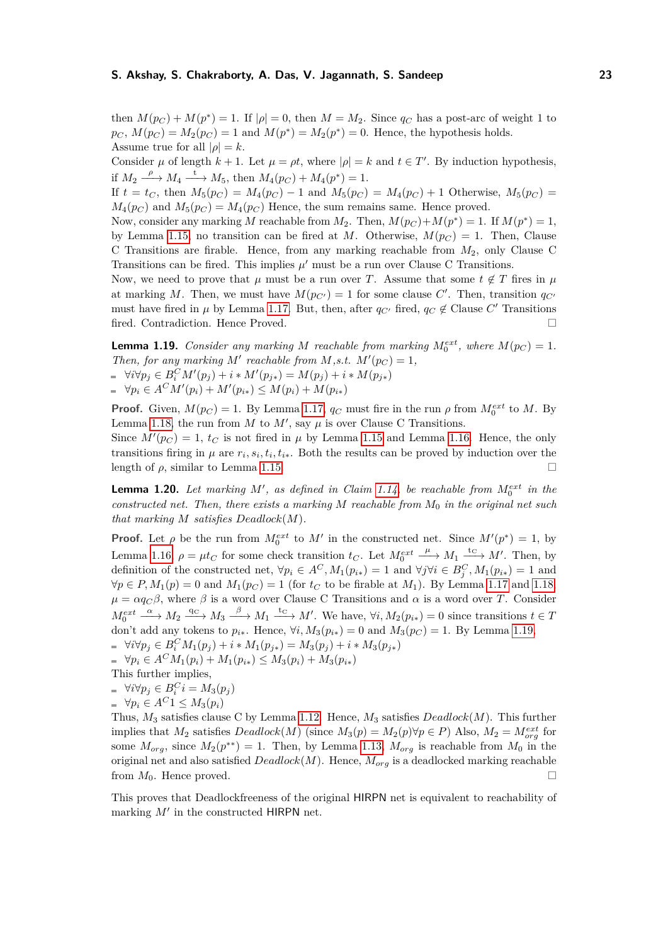then  $M(p_C) + M(p^*) = 1$ . If  $|\rho| = 0$ , then  $M = M_2$ . Since  $q_C$  has a post-arc of weight 1 to  $p_C$ ,  $M(p_C) = M_2(p_C) = 1$  and  $M(p^*) = M_2(p^*) = 0$ . Hence, the hypothesis holds. Assume true for all  $|\rho| = k$ .

Consider  $\mu$  of length  $k + 1$ . Let  $\mu = \rho t$ , where  $|\rho| = k$  and  $t \in T'$ . By induction hypothesis, if  $M_2 \xrightarrow{\rho} M_4 \xrightarrow{t} M_5$ , then  $M_4(p_C) + M_4(p^*) = 1$ .

If  $t = t_C$ , then  $M_5(p_C) = M_4(p_C) - 1$  and  $M_5(p_C) = M_4(p_C) + 1$  Otherwise,  $M_5(p_C) =$  $M_4(p_C)$  and  $M_5(p_C) = M_4(p_C)$  Hence, the sum remains same. Hence proved.

Now, consider any marking *M* reachable from  $M_2$ . Then,  $M(p_C) + M(p^*) = 1$ . If  $M(p^*) = 1$ , by Lemma [1.15,](#page-20-1) no transition can be fired at *M*. Otherwise,  $M(p_C) = 1$ . Then, Clause C Transitions are firable. Hence, from any marking reachable from *M*2, only Clause C Transitions can be fired. This implies  $\mu'$  must be a run over Clause C Transitions.

Now, we need to prove that  $\mu$  must be a run over *T*. Assume that some  $t \notin T$  fires in  $\mu$ at marking *M*. Then, we must have  $M(p_{C'}) = 1$  for some clause *C'*. Then, transition  $q_{C'}$ must have fired in  $\mu$  by Lemma [1.17.](#page-21-0) But, then, after  $q_{C'}$  fired,  $q_C \notin$  Clause  $C'$  Transitions fired. Contradiction. Hence Proved.

<span id="page-22-0"></span>**Lemma 1.19.** *Consider any marking M reachable from marking*  $M_0^{ext}$ *, where*  $M(p_C) = 1$ *. Then, for any marking*  $M'$  *reachable from*  $M$ *,s.t.*  $M'(p_C) = 1$ *,*  $\forall i \forall p_j \in B_i^C M'(p_j) + i * M'(p_{j*}) = M(p_j) + i * M(p_{j*})$  $\forall p_i \in A^C M'(p_i) + M'(p_{i*}) \leq M(p_i) + M(p_{i*})$ 

**Proof.** Given,  $M(p_C) = 1$ . By Lemma [1.17,](#page-21-0)  $q_C$  must fire in the run  $\rho$  from  $M_0^{ext}$  to M. By Lemma [1.18,](#page-21-1) the run from  $M$  to  $M'$ , say  $\mu$  is over Clause C Transitions.

Since  $M'(p_C) = 1$ ,  $t_C$  is not fired in  $\mu$  by Lemma [1.15](#page-20-1) and Lemma [1.16.](#page-21-2) Hence, the only transitions firing in  $\mu$  are  $r_i$ ,  $s_i$ ,  $t_i$ ,  $t_i$ . Both the results can be proved by induction over the length of  $\rho$ , similar to Lemma [1.15.](#page-20-1)

**Lemma 1.20.** Let marking M', as defined in Claim [1.14,](#page-20-2) be reachable from  $M_0^{ext}$  in the *constructed net. Then, there exists a marking M reachable from M*<sup>0</sup> *in the original net such that marking*  $M$  *satisfies*  $Deadlock(M)$ *.* 

**Proof.** Let  $\rho$  be the run from  $M_0^{ext}$  to  $M'$  in the constructed net. Since  $M'(p^*) = 1$ , by Lemma [1.16,](#page-21-2)  $\rho = \mu t_C$  for some check transition  $t_C$ . Let  $M_0^{ext}$  $\xrightarrow{\mu} M_1 \xrightarrow{\text{tc}} M'$ . Then, by definition of the constructed net,  $\forall p_i \in A^C, M_1(p_{i*}) = 1$  and  $\forall j \forall i \in B^C_j, M_1(p_{i*}) = 1$  and  $∀p ∈ P, M_1(p) = 0$  and  $M_1(p_C) = 1$  (for  $t_C$  to be firable at  $M_1$ ). By Lemma [1.17](#page-21-0) and [1.18,](#page-21-1)  $\mu = \alpha q_C \beta$ , where  $\beta$  is a word over Clause C Transitions and  $\alpha$  is a word over *T*. Consider  $M_0^{ext} \xrightarrow{\alpha} M_2 \xrightarrow{q_C} M_3 \xrightarrow{\beta} M_1 \xrightarrow{t_C} M'$ . We have,  $\forall i, M_2(p_{i*}) = 0$  since transitions  $t \in T$ don't add any tokens to  $p_{i*}$ . Hence,  $\forall i, M_3(p_{i*}) = 0$  and  $M_3(p_C) = 1$ . By Lemma [1.19,](#page-22-0)  $\forall i \forall p_j \in B_i^C M_1(p_j) + i * M_1(p_{j*}) = M_3(p_j) + i * M_3(p_{j*})$ 

 $\forall p_i \in A^C M_1(p_i) + M_1(p_{i*}) \leq M_3(p_i) + M_3(p_{i*})$ 

This further implies,

- $\forall i \forall p_j \in B_i^C$  $i = M_3(p_j)$
- $\forall p_i \in A^C1 \leq M_3(p_i)$

Thus, *M*<sup>3</sup> satisfies clause C by Lemma [1.12.](#page-19-4) Hence, *M*<sup>3</sup> satisfies *Deadlock*(*M*). This further implies that  $M_2$  satisfies  $Deadlock(M)$  (since  $M_3(p) = M_2(p) \forall p \in P$ ) Also,  $M_2 = M_{org}^{ext}$  for some  $M_{org}$ , since  $M_2(p^{**}) = 1$ . Then, by Lemma [1.13,](#page-20-0)  $M_{org}$  is reachable from  $M_0$  in the original net and also satisfied *Deadlock*(*M*). Hence, *Morg* is a deadlocked marking reachable from  $M_0$ . Hence proved.

This proves that Deadlockfreeness of the original HIRPN net is equivalent to reachability of marking  $M'$  in the constructed HIRPN net.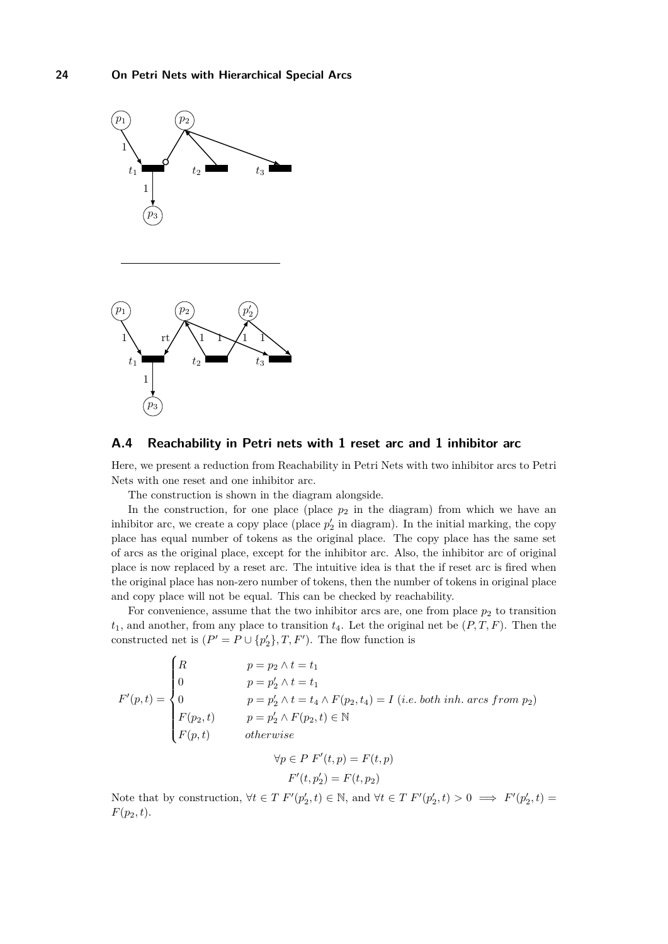

### <span id="page-23-0"></span>**A.4 Reachability in Petri nets with 1 reset arc and 1 inhibitor arc**

Here, we present a reduction from Reachability in Petri Nets with two inhibitor arcs to Petri Nets with one reset and one inhibitor arc.

The construction is shown in the diagram alongside.

In the construction, for one place (place  $p_2$  in the diagram) from which we have an inhibitor arc, we create a copy place (place  $p_2'$  in diagram). In the initial marking, the copy place has equal number of tokens as the original place. The copy place has the same set of arcs as the original place, except for the inhibitor arc. Also, the inhibitor arc of original place is now replaced by a reset arc. The intuitive idea is that the if reset arc is fired when the original place has non-zero number of tokens, then the number of tokens in original place and copy place will not be equal. This can be checked by reachability.

For convenience, assume that the two inhibitor arcs are, one from place  $p_2$  to transition  $t_1$ , and another, from any place to transition  $t_4$ . Let the original net be  $(P, T, F)$ . Then the constructed net is  $(P' = P \cup \{p'_2\}, T, F')$ . The flow function is

$$
F'(p,t) = \begin{cases} R & p = p_2 \land t = t_1 \\ 0 & p = p'_2 \land t = t_1 \\ 0 & p = p'_2 \land t = t_4 \land F(p_2, t_4) = I \ (i.e. \ both \ inh. \ arcs \ from \ p_2) \\ F(p_2, t) & p = p'_2 \land F(p_2, t) \in \mathbb{N} \\ F(p, t) & otherwise \end{cases}
$$

$$
\forall p \in P \ F'(t, p) = F(t, p)
$$

$$
F'(t, p'_2) = F(t, p_2)
$$

Note that by construction,  $\forall t \in T \ F'(p'_2, t) \in \mathbb{N}$ , and  $\forall t \in T \ F'(p'_2, t) > 0 \implies F'(p'_2, t) =$  $F(p_2, t)$ .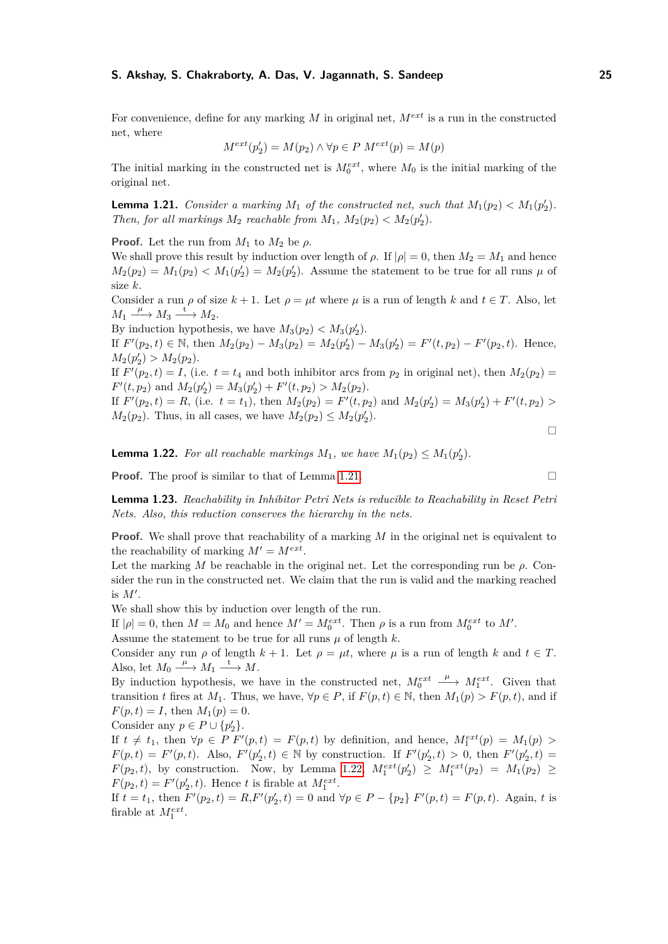For convenience, define for any marking *M* in original net, *Mext* is a run in the constructed net, where

$$
M^{ext}(p'_2) = M(p_2) \land \forall p \in P \ M^{ext}(p) = M(p)
$$

The initial marking in the constructed net is  $M_0^{ext}$ , where  $M_0$  is the initial marking of the original net.

<span id="page-24-0"></span>**Lemma 1.21.** *Consider a marking*  $M_1$  *of the constructed net, such that*  $M_1(p_2) < M_1(p_2')$ *. Then, for all markings*  $M_2$  *reachable from*  $M_1$ ,  $M_2(p_2) < M_2(p_2')$ .

**Proof.** Let the run from  $M_1$  to  $M_2$  be  $\rho$ .

We shall prove this result by induction over length of  $\rho$ . If  $|\rho| = 0$ , then  $M_2 = M_1$  and hence  $M_2(p_2) = M_1(p_2) < M_1(p'_2) = M_2(p'_2)$ . Assume the statement to be true for all runs  $\mu$  of size *k*.

Consider a run  $\rho$  of size  $k + 1$ . Let  $\rho = \mu t$  where  $\mu$  is a run of length  $k$  and  $t \in T$ . Also, let  $M_1 \xrightarrow{\mu} M_3 \xrightarrow{t} M_2.$ 

By induction hypothesis, we have  $M_3(p_2) < M_3(p_2')$ .

If  $F'(p_2, t) \in \mathbb{N}$ , then  $M_2(p_2) - M_3(p_2) = M_2(p'_2) - M_3(p'_2) = F'(t, p_2) - F'(p_2, t)$ . Hence,  $M_2(p'_2) > M_2(p_2).$ 

If  $F'(p_2, t) = I$ , (i.e.  $t = t_4$  and both inhibitor arcs from  $p_2$  in original net), then  $M_2(p_2) =$  $F'(t, p_2)$  and  $M_2(p'_2) = M_3(p'_2) + F'(t, p_2) > M_2(p_2)$ .

If  $F'(p_2, t) = R$ , (i.e.  $t = t_1$ ), then  $M_2(p_2) = F'(t, p_2)$  and  $M_2(p'_2) = M_3(p'_2) + F'(t, p_2) >$  $M_2(p_2)$ . Thus, in all cases, we have  $M_2(p_2) \leq M_2(p_2')$ .

<span id="page-24-1"></span>**Lemma 1.22.** For all reachable markings  $M_1$ , we have  $M_1(p_2) \leq M_1(p_2')$ .

**Proof.** The proof is similar to that of Lemma [1.21.](#page-24-0)

**Lemma 1.23.** *Reachability in Inhibitor Petri Nets is reducible to Reachability in Reset Petri Nets. Also, this reduction conserves the hierarchy in the nets.*

**Proof.** We shall prove that reachability of a marking *M* in the original net is equivalent to the reachability of marking  $M' = M^{ext}$ .

Let the marking *M* be reachable in the original net. Let the corresponding run be *ρ*. Consider the run in the constructed net. We claim that the run is valid and the marking reached is  $M'$ .

We shall show this by induction over length of the run.

If  $|\rho| = 0$ , then  $M = M_0$  and hence  $M' = M_0^{ext}$ . Then  $\rho$  is a run from  $M_0^{ext}$  to  $M'$ .

Assume the statement to be true for all runs  $\mu$  of length  $k$ .

Consider any run  $\rho$  of length  $k + 1$ . Let  $\rho = \mu t$ , where  $\mu$  is a run of length  $k$  and  $t \in T$ . Also, let  $M_0 \xrightarrow{\mu} M_1 \xrightarrow{t} M$ .

By induction hypothesis, we have in the constructed net,  $M_0^{ext}$  $\frac{\mu}{\sqrt{2}}$  *M*<sup>*ext*</sup>. Given that transition *t* fires at *M*<sub>1</sub>. Thus, we have,  $\forall p \in P$ , if  $F(p, t) \in \mathbb{N}$ , then  $M_1(p) > F(p, t)$ , and if  $F(p,t) = I$ , then  $M_1(p) = 0$ .

Consider any 
$$
p \in P \cup \{p'_2\}
$$
.

If  $t \neq t_1$ , then  $\forall p \in P$   $F'(p,t) = F(p,t)$  by definition, and hence,  $M_1^{ext}(p) = M_1(p) >$  $F(p, t) = F'(p, t)$ . Also,  $F'(p'_2, t) \in \mathbb{N}$  by construction. If  $F'(p'_2, t) > 0$ , then  $F'(p'_2, t) =$  $F(p_2, t)$ , by construction. Now, by Lemma [1.22,](#page-24-1)  $M_1^{ext}(p'_2) \ge M_1^{ext}(p_2) = M_1(p_2) \ge$  $F(p_2, t) = F'(p'_2, t)$ . Hence *t* is firable at  $M_1^{ext}$ .

If  $t = t_1$ , then  $F'(p_2, t) = R$ ,  $F'(p'_2, t) = 0$  and  $\forall p \in P - \{p_2\}$   $F'(p, t) = F(p, t)$ . Again, t is firable at  $M_1^{ext}$ .

$$
\overline{a}
$$

 $\Box$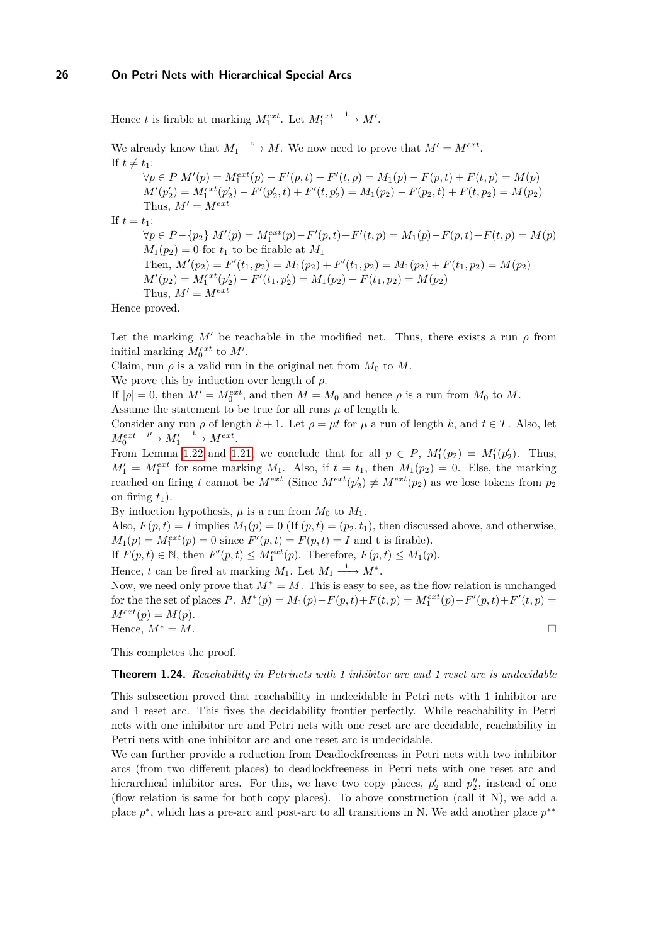Hence *t* is firable at marking  $M_1^{ext}$ . Let  $M_1^{ext} \xrightarrow{t} M'$ .

We already know that  $M_1 \xrightarrow{t} M$ . We now need to prove that  $M' = M^{ext}$ . If  $t \neq t_1$ :  $\forall p \in P \ M'(p) = M_1^{ext}(p) - F'(p, t) + F'(t, p) = M_1(p) - F(p, t) + F(t, p) = M(p)$  $M'(p'_2) = M_1^{ext}(p'_2) - F'(p'_2, t) + F'(t, p'_2) = M_1(p_2) - F(p_2, t) + F(t, p_2) = M(p_2)$ Thus,  $M' = M^{ext}$ If  $t = t_1$ :  $\forall p \in P - \{p_2\} \ M'(p) = M_1^{ext}(p) - F'(p, t) + F'(t, p) = M_1(p) - F(p, t) + F(t, p) = M(p)$  $M_1(p_2) = 0$  for  $t_1$  to be firable at  $M_1$ Then,  $M'(p_2) = F'(t_1, p_2) = M_1(p_2) + F'(t_1, p_2) = M_1(p_2) + F(t_1, p_2) = M(p_2)$  $M'(p_2) = M_1^{ext}(p'_2) + F'(t_1, p'_2) = M_1(p_2) + F(t_1, p_2) = M(p_2)$ Thus,  $M' = M^{ext}$ Hence proved.

Let the marking  $M'$  be reachable in the modified net. Thus, there exists a run  $\rho$  from initial marking  $M_0^{ext}$  to  $M'$ .

Claim, run  $\rho$  is a valid run in the original net from  $M_0$  to  $M$ .

We prove this by induction over length of *ρ*.

If  $|\rho| = 0$ , then  $M' = M_0^{ext}$ , and then  $M = M_0$  and hence  $\rho$  is a run from  $M_0$  to  $M$ .

Assume the statement to be true for all runs  $\mu$  of length k.

Consider any run  $\rho$  of length  $k + 1$ . Let  $\rho = \mu t$  for  $\mu$  a run of length  $k$ , and  $t \in T$ . Also, let  $M_0^{ext}$  $\underline{\overset{\mu}{\longrightarrow}} M'_1 \xrightarrow{t} M^{ext}.$ 

From Lemma [1.22](#page-24-1) and [1.21,](#page-24-0) we conclude that for all  $p \in P$ ,  $M'_1(p_2) = M'_1(p'_2)$ . Thus,  $M_1' = M_1^{ext}$  for some marking  $M_1$ . Also, if  $t = t_1$ , then  $M_1(p_2) = 0$ . Else, the marking reached on firing *t* cannot be  $M^{ext}$  (Since  $M^{ext}(p'_2) \neq M^{ext}(p_2)$  as we lose tokens from  $p_2$ on firing  $t_1$ ).

By induction hypothesis,  $\mu$  is a run from  $M_0$  to  $M_1$ . Also,  $F(p, t) = I$  implies  $M_1(p) = 0$  (If  $(p, t) = (p_2, t_1)$ , then discussed above, and otherwise,  $M_1(p) = M_1^{ext}(p) = 0$  since  $F'(p, t) = F(p, t) = I$  and t is firable).

If  $F(p, t) \in \mathbb{N}$ , then  $F'(p, t) \leq M_1^{ext}(p)$ . Therefore,  $F(p, t) \leq M_1(p)$ .

Hence, *t* can be fired at marking  $M_1$ . Let  $M_1 \xrightarrow{t} M^*$ .

Now, we need only prove that *M*<sup>∗</sup> = *M*. This is easy to see, as the flow relation is unchanged for the the set of places *P*.  $M^*(p) = M_1(p) - F(p, t) + F(t, p) = M_1^{ext}(p) - F'(p, t) + F'(t, p) =$  $M^{ext}(p) = M(p).$ Hence,  $M^* = M$ .

This completes the proof.

#### **Theorem 1.24.** *Reachability in Petrinets with 1 inhibitor arc and 1 reset arc is undecidable*

This subsection proved that reachability in undecidable in Petri nets with 1 inhibitor arc and 1 reset arc. This fixes the decidability frontier perfectly. While reachability in Petri nets with one inhibitor arc and Petri nets with one reset arc are decidable, reachability in Petri nets with one inhibitor arc and one reset arc is undecidable.

We can further provide a reduction from Deadlockfreeness in Petri nets with two inhibitor arcs (from two different places) to deadlockfreeness in Petri nets with one reset arc and hierarchical inhibitor arcs. For this, we have two copy places,  $p'_2$  and  $p''_2$ , instead of one (flow relation is same for both copy places). To above construction (call it N), we add a place  $p^*$ , which has a pre-arc and post-arc to all transitions in N. We add another place  $p^{**}$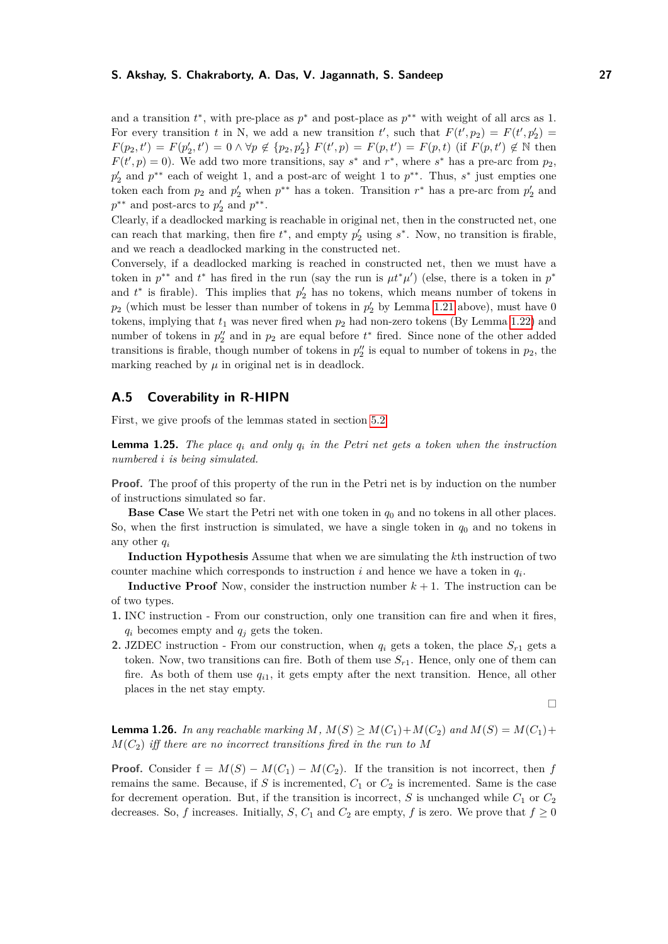and a transition  $t^*$ , with pre-place as  $p^*$  and post-place as  $p^{**}$  with weight of all arcs as 1. For every transition *t* in N, we add a new transition *t'*, such that  $F(t', p_2) = F(t', p'_2)$  $F(p_2, t') = F(p'_2, t') = 0 \wedge \forall p \notin \{p_2, p'_2\} F(t', p) = F(p, t') = F(p, t)$  (if  $F(p, t') \notin \mathbb{N}$  then  $F(t', p) = 0$ ). We add two more transitions, say *s*<sup>\*</sup> and *r*<sup>\*</sup>, where *s*<sup>\*</sup> has a pre-arc from  $p_2$ , *p*<sup>1</sup><sub>2</sub> and *p*<sup>\*\*</sup> each of weight 1, and a post-arc of weight 1 to *p*<sup>\*\*</sup>. Thus, *s*<sup>\*</sup> just empties one token each from  $p_2$  and  $p'_2$  when  $p^{**}$  has a token. Transition  $r^*$  has a pre-arc from  $p'_2$  and  $p^{**}$  and post-arcs to  $p'_2$  and  $p^{**}$ .

Clearly, if a deadlocked marking is reachable in original net, then in the constructed net, one can reach that marking, then fire  $t^*$ , and empty  $p'_2$  using  $s^*$ . Now, no transition is firable, and we reach a deadlocked marking in the constructed net.

Conversely, if a deadlocked marking is reached in constructed net, then we must have a token in  $p^{**}$  and  $t^*$  has fired in the run (say the run is  $\mu t^* \mu'$ ) (else, there is a token in  $p^*$ and  $t^*$  is firable). This implies that  $p'_2$  has no tokens, which means number of tokens in  $p_2$  (which must be lesser than number of tokens in  $p'_2$  by Lemma [1.21](#page-24-0) above), must have 0 tokens, implying that  $t_1$  was never fired when  $p_2$  had non-zero tokens (By Lemma [1.22\)](#page-24-1) and number of tokens in  $p_2^{\prime\prime}$  and in  $p_2$  are equal before  $t^*$  fired. Since none of the other added transitions is firable, though number of tokens in  $p_2$ <sup>'</sup> is equal to number of tokens in  $p_2$ , the marking reached by  $\mu$  in original net is in deadlock.

# <span id="page-26-0"></span>**A.5 Coverability in R-HIPN**

First, we give proofs of the lemmas stated in section [5.2](#page-10-2)

**Lemma 1.25.** *The place*  $q_i$  *and only*  $q_i$  *in the Petri net gets a token when the instruction numbered i is being simulated.*

**Proof.** The proof of this property of the run in the Petri net is by induction on the number of instructions simulated so far.

**Base Case** We start the Petri net with one token in *q*<sup>0</sup> and no tokens in all other places. So, when the first instruction is simulated, we have a single token in  $q_0$  and no tokens in any other *q<sup>i</sup>*

**Induction Hypothesis** Assume that when we are simulating the *k*th instruction of two counter machine which corresponds to instruction  $i$  and hence we have a token in  $q_i$ .

**Inductive Proof** Now, consider the instruction number  $k + 1$ . The instruction can be of two types.

- **1.** INC instruction From our construction, only one transition can fire and when it fires, *q<sup>i</sup>* becomes empty and *q<sup>j</sup>* gets the token.
- **2.** JZDEC instruction From our construction, when  $q_i$  gets a token, the place  $S_{r1}$  gets a token. Now, two transitions can fire. Both of them use  $S_{r1}$ . Hence, only one of them can fire. As both of them use  $q_{i1}$ , it gets empty after the next transition. Hence, all other places in the net stay empty.

$$
\Box
$$

**Lemma 1.26.** *In any reachable marking*  $M$ *,*  $M(S) \geq M(C_1) + M(C_2)$  *and*  $M(S) = M(C_1) +$  $M(C_2)$  *iff there are no incorrect transitions fired in the run to* M

**Proof.** Consider  $f = M(S) - M(C_1) - M(C_2)$ . If the transition is not incorrect, then *f* remains the same. Because, if *S* is incremented,  $C_1$  or  $C_2$  is incremented. Same is the case for decrement operation. But, if the transition is incorrect, *S* is unchanged while  $C_1$  or  $C_2$ decreases. So, *f* increases. Initially, *S*,  $C_1$  and  $C_2$  are empty, *f* is zero. We prove that  $f \ge 0$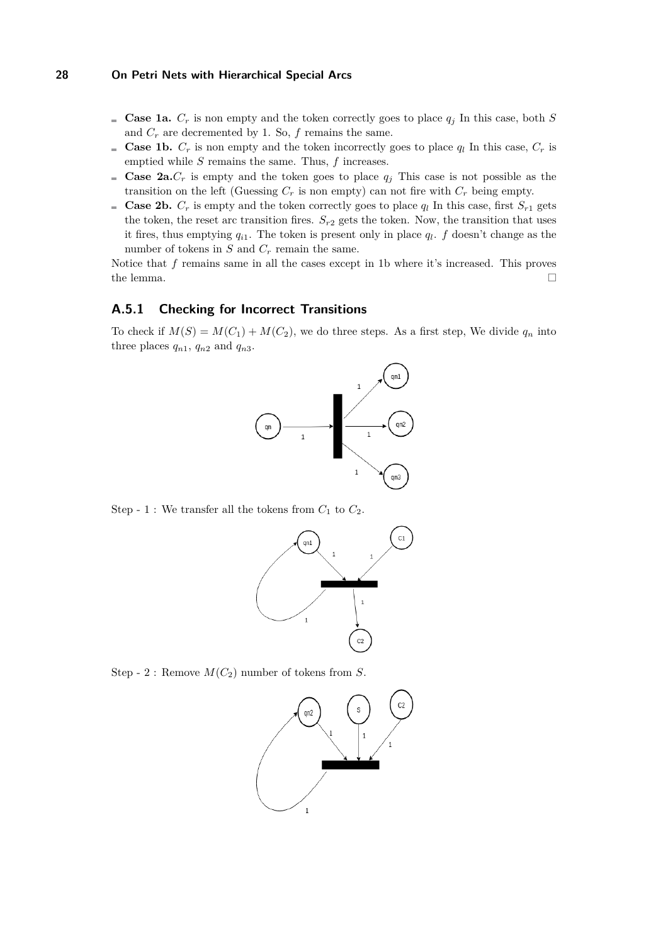- **Case 1a.**  $C_r$  is non empty and the token correctly goes to place  $q_i$  In this case, both *S* and  $C_r$  are decremented by 1. So,  $f$  remains the same.
- **Case 1b.**  $C_r$  is non empty and the token incorrectly goes to place  $q_l$  In this case,  $C_r$  is emptied while *S* remains the same. Thus, *f* increases.
- **Case 2a.** $C_r$  is empty and the token goes to place  $q_j$  This case is not possible as the transition on the left (Guessing  $C_r$  is non empty) can not fire with  $C_r$  being empty.
- **Case 2b.**  $C_r$  is empty and the token correctly goes to place  $q_l$  In this case, first  $S_{r1}$  gets the token, the reset arc transition fires.  $S_{r2}$  gets the token. Now, the transition that uses it fires, thus emptying  $q_{i1}$ . The token is present only in place  $q_l$ .  $f$  doesn't change as the number of tokens in  $S$  and  $C_r$  remain the same.

Notice that *f* remains same in all the cases except in 1b where it's increased. This proves the lemma.  $\Box$ 

# **A.5.1 Checking for Incorrect Transitions**

To check if  $M(S) = M(C_1) + M(C_2)$ , we do three steps. As a first step, We divide  $q_n$  into three places  $q_{n1}$ ,  $q_{n2}$  and  $q_{n3}$ .



Step - 1 : We transfer all the tokens from  $C_1$  to  $C_2$ .



Step - 2 : Remove  $M(C_2)$  number of tokens from *S*.

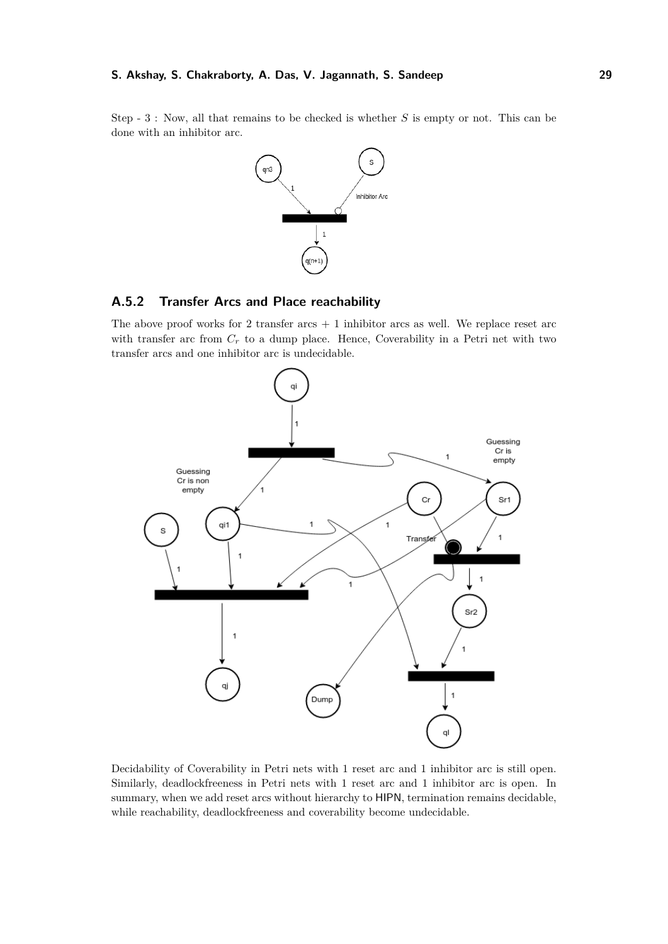Step - 3 : Now, all that remains to be checked is whether *S* is empty or not. This can be done with an inhibitor arc.



# **A.5.2 Transfer Arcs and Place reachability**

The above proof works for 2 transfer  $arcs + 1$  inhibitor arcs as well. We replace reset  $arc$ with transfer arc from  $C_r$  to a dump place. Hence, Coverability in a Petri net with two transfer arcs and one inhibitor arc is undecidable.



Decidability of Coverability in Petri nets with 1 reset arc and 1 inhibitor arc is still open. Similarly, deadlockfreeness in Petri nets with 1 reset arc and 1 inhibitor arc is open. In summary, when we add reset arcs without hierarchy to HIPN, termination remains decidable, while reachability, deadlockfreeness and coverability become undecidable.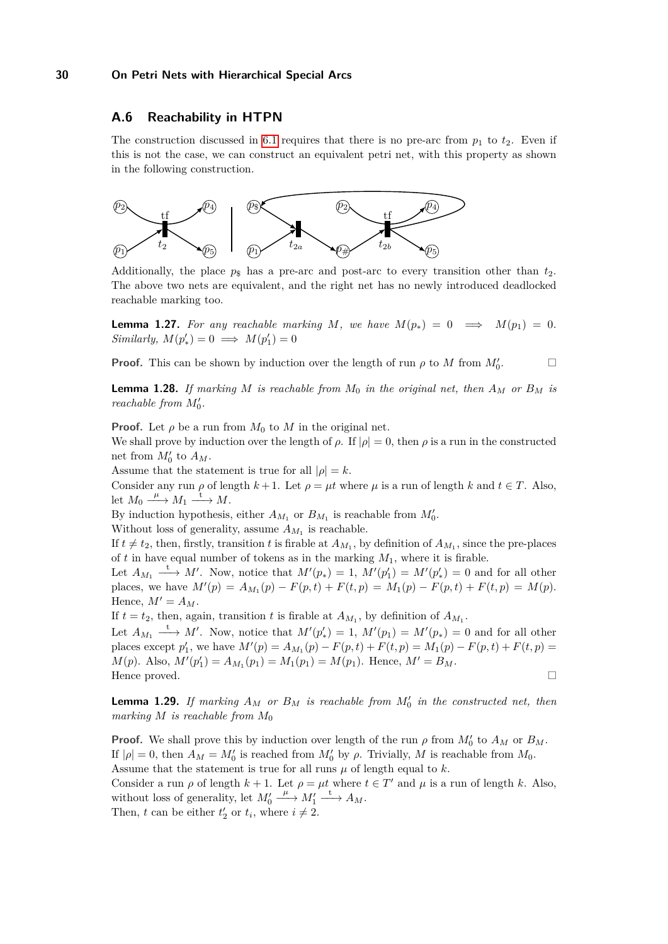# <span id="page-29-0"></span>**A.6 Reachability in HTPN**

The construction discussed in [6.1](#page-12-3) requires that there is no pre-arc from  $p_1$  to  $t_2$ . Even if this is not the case, we can construct an equivalent petri net, with this property as shown in the following construction.



Additionally, the place  $p_{\rm s}$  has a pre-arc and post-arc to every transition other than  $t_2$ . The above two nets are equivalent, and the right net has no newly introduced deadlocked reachable marking too.

**Lemma 1.27.** For any reachable marking M, we have  $M(p_*) = 0 \implies M(p_1) = 0$ . *Similarly,*  $M(p'_*) = 0 \implies M(p'_1) = 0$ 

**Proof.** This can be shown by induction over the length of run  $\rho$  to *M* from  $M_0'$ 

 $\Box$ 

**Lemma 1.28.** *If marking M is reachable from*  $M_0$  *in the original net, then*  $A_M$  *or*  $B_M$  *is reachable from*  $M'_0$ .

**Proof.** Let  $\rho$  be a run from  $M_0$  to  $M$  in the original net.

We shall prove by induction over the length of  $\rho$ . If  $|\rho| = 0$ , then  $\rho$  is a run in the constructed net from  $M'_0$  to  $A_M$ .

Assume that the statement is true for all  $|\rho| = k$ .

Consider any run  $\rho$  of length  $k + 1$ . Let  $\rho = \mu t$  where  $\mu$  is a run of length  $k$  and  $t \in T$ . Also, let  $M_0 \xrightarrow{\mu} M_1 \xrightarrow{\text{t}} M$ .

By induction hypothesis, either  $A_{M_1}$  or  $B_{M_1}$  is reachable from  $M'_0$ .

Without loss of generality, assume  $A_{M_1}$  is reachable.

If  $t \neq t_2$ , then, firstly, transition *t* is firable at  $A_{M_1}$ , by definition of  $A_{M_1}$ , since the pre-places of  $t$  in have equal number of tokens as in the marking  $M_1$ , where it is firable.

Let  $A_{M_1} \longrightarrow M'$ . Now, notice that  $M'(p_*) = 1$ ,  $M'(p'_1) = M'(p'_*) = 0$  and for all other places, we have  $M'(p) = A_{M_1}(p) - F(p, t) + F(t, p) = M_1(p) - F(p, t) + F(t, p) = M(p)$ . Hence,  $M' = A_M$ .

If  $t = t_2$ , then, again, transition  $t$  is firable at  $A_{M_1}$ , by definition of  $A_{M_1}$ .

Let  $A_{M_1} \longrightarrow M'$ . Now, notice that  $M'(p'_*) = 1$ ,  $M'(p_1) = M'(p_*) = 0$  and for all other places except  $p'_1$ , we have  $M'(p) = A_{M_1}(p) - F(p, t) + F(t, p) = M_1(p) - F(p, t) + F(t, p) =$  $M(p)$ . Also,  $M'(p'_1) = A_{M_1}(p_1) = M_1(p_1) = M(p_1)$ . Hence,  $M' = B_M$ . Hence proved.

**Lemma 1.29.** *If marking*  $A_M$  *or*  $B_M$  *is reachable from*  $M'_0$  *in the constructed net, then marking M is reachable from M*<sup>0</sup>

**Proof.** We shall prove this by induction over length of the run  $\rho$  from  $M_0'$  to  $A_M$  or  $B_M$ . If  $|\rho| = 0$ , then  $A_M = M'_0$  is reached from  $M'_0$  by  $\rho$ . Trivially, M is reachable from  $M_0$ . Assume that the statement is true for all runs  $\mu$  of length equal to  $k$ . Consider a run  $\rho$  of length  $k + 1$ . Let  $\rho = \mu t$  where  $t \in T'$  and  $\mu$  is a run of length k. Also,

without loss of generality, let  $M'_0$  $\underline{\xrightarrow{\mu}} M'_1 \xrightarrow{\text{t}} A_M.$ 

Then, *t* can be either  $t'_2$  or  $t_i$ , where  $i \neq 2$ .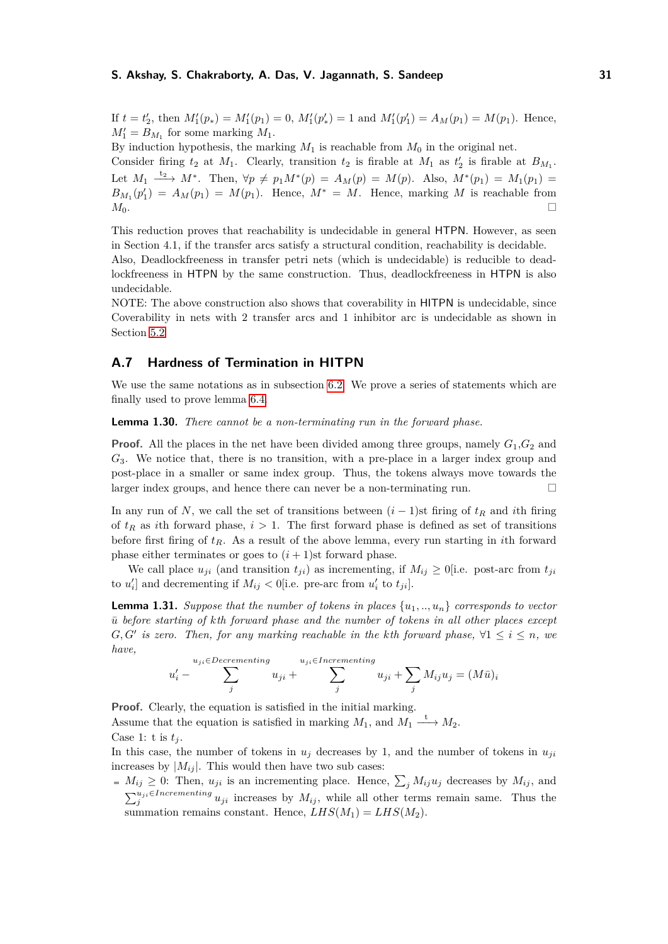If  $t = t'_2$ , then  $M'_1(p_*) = M'_1(p_1) = 0$ ,  $M'_1(p'_*) = 1$  and  $M'_1(p'_1) = A_M(p_1) = M(p_1)$ . Hence,  $M_1' = B_{M_1}$  for some marking  $M_1$ .

By induction hypothesis, the marking  $M_1$  is reachable from  $M_0$  in the original net.

Consider firing  $t_2$  at  $M_1$ . Clearly, transition  $t_2$  is firable at  $M_1$  as  $t'_2$  is firable at  $B_{M_1}$ . Let  $M_1 \xrightarrow{t_2} M^*$ . Then,  $\forall p \neq p_1 M^*(p) = A_M(p) = M(p)$ . Also,  $M^*(p_1) = M_1(p_1) =$  $B_{M_1}(p'_1) = A_M(p_1) = M(p_1)$ . Hence,  $M^* = M$ . Hence, marking *M* is reachable from *M*0.

This reduction proves that reachability is undecidable in general HTPN. However, as seen in Section 4.1, if the transfer arcs satisfy a structural condition, reachability is decidable. Also, Deadlockfreeness in transfer petri nets (which is undecidable) is reducible to deadlockfreeness in HTPN by the same construction. Thus, deadlockfreeness in HTPN is also undecidable.

NOTE: The above construction also shows that coverability in HITPN is undecidable, since Coverability in nets with 2 transfer arcs and 1 inhibitor arc is undecidable as shown in Section [5.2](#page-10-2)

# <span id="page-30-0"></span>**A.7 Hardness of Termination in HITPN**

We use the same notations as in subsection [6.2.](#page-13-0) We prove a series of statements which are finally used to prove lemma [6.4.](#page-15-9)

<span id="page-30-2"></span>**Lemma 1.30.** *There cannot be a non-terminating run in the forward phase.*

**Proof.** All the places in the net have been divided among three groups, namely  $G_1$ ,  $G_2$  and *G*3. We notice that, there is no transition, with a pre-place in a larger index group and post-place in a smaller or same index group. Thus, the tokens always move towards the larger index groups, and hence there can never be a non-terminating run.

In any run of *N*, we call the set of transitions between  $(i - 1)$ st firing of  $t<sub>R</sub>$  and *i*th firing of  $t_R$  as *i*th forward phase,  $i > 1$ . The first forward phase is defined as set of transitions before first firing of *tR*. As a result of the above lemma, every run starting in *i*th forward phase either terminates or goes to  $(i + 1)$ st forward phase.

We call place  $u_{ji}$  (and transition  $t_{ji}$ ) as incrementing, if  $M_{ij} \ge 0$  [i.e. post-arc from  $t_{ji}$ to  $u'_i$  and decrementing if  $M_{ij} < 0$  [i.e. pre-arc from  $u'_i$  to  $t_{ji}$ ].

<span id="page-30-1"></span>**Lemma 1.31.** *Suppose that the number of tokens in places*  $\{u_1, \ldots, u_n\}$  *corresponds to vector*  $\bar{u}$  before starting of  $k$ <sup>th</sup> forward phase and the number of tokens in all other places except *G*, *G'* is zero. Then, for any marking reachable in the kth forward phase,  $\forall$ 1 ≤ *i* ≤ *n*, we *have,*

$$
u'_{i} - \sum_{j}^{u_{ji} \in Decremening} u_{ji} + \sum_{j}^{u_{ji} \in Incremening} u_{ji} + \sum_{j} M_{ij} u_{j} = (M\bar{u})_{i}
$$

**Proof.** Clearly, the equation is satisfied in the initial marking.

Assume that the equation is satisfied in marking  $M_1$ , and  $M_1 \stackrel{t}{\longrightarrow} M_2$ .

Case 1: t is  $t_j$ .

In this case, the number of tokens in  $u_j$  decreases by 1, and the number of tokens in  $u_{ji}$ increases by  $|M_{ij}|$ . This would then have two sub cases:

 $M_{ij} \geq 0$ : Then,  $u_{ji}$  is an incrementing place. Hence,  $\sum_j M_{ij}u_j$  decreases by  $M_{ij}$ , and  $\sum_{j}^{u_{ji}\in\text{Incrementing}} u_{ji}$  increases by  $M_{ij}$ , while all other terms remain same. Thus the summation remains constant. Hence,  $LHS(M_1) = LHS(M_2)$ .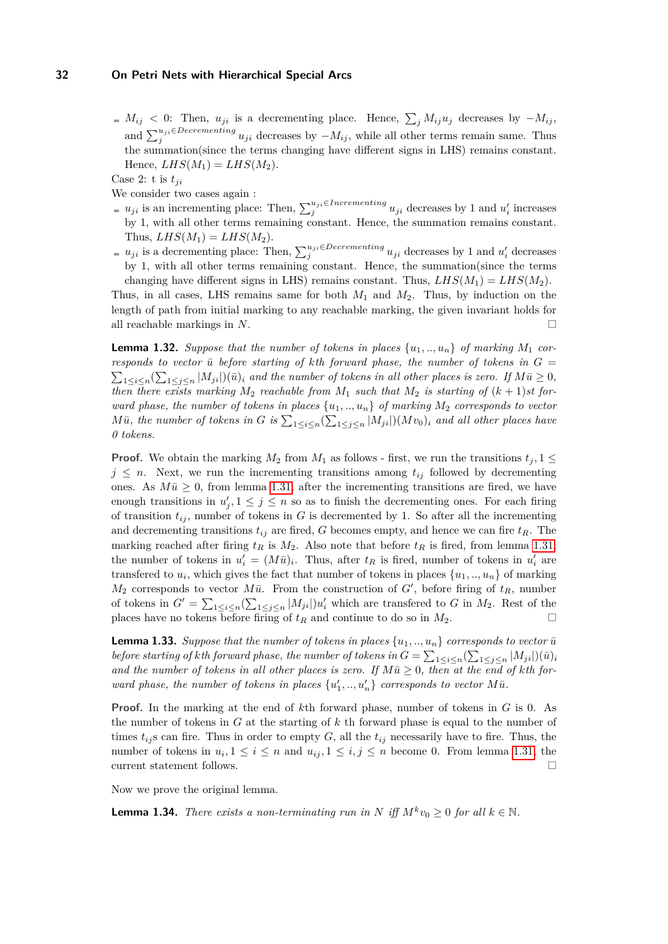$M_{ij}$  < 0: Then,  $u_{ji}$  is a decrementing place. Hence,  $\sum_j M_{ij}u_j$  decreases by  $-M_{ij}$ , and  $\sum_{j}^{u_{ji}\in Decrementing} u_{ji}$  decreases by  $-M_{ij}$ , while all other terms remain same. Thus the summation(since the terms changing have different signs in LHS) remains constant. Hence,  $LHS(M_1) = LHS(M_2)$ .

Case 2: t is  $t_{ii}$ 

We consider two cases again :

- $u_{ji}$  is an incrementing place: Then,  $\sum_{j}^{u_{ji} \in {\text{Incrementing}}} u_{ji}$  decreases by 1 and  $u_i'$  increases by 1, with all other terms remaining constant. Hence, the summation remains constant. Thus,  $LHS(M_1) = LHS(M_2)$ .
- $u_{ji}$  is a decrementing place: Then,  $\sum_{j}^{u_{ji}\in Decembering} u_{ji}$  decreases by 1 and  $u'_i$  decreases by 1, with all other terms remaining constant. Hence, the summation(since the terms changing have different signs in LHS) remains constant. Thus,  $LHS(M_1) = LHS(M_2)$ .

Thus, in all cases, LHS remains same for both *M*<sup>1</sup> and *M*2. Thus, by induction on the length of path from initial marking to any reachable marking, the given invariant holds for all reachable markings in *N*.

<span id="page-31-0"></span>**Lemma 1.32.** *Suppose that the number of tokens in places*  $\{u_1, \ldots, u_n\}$  *of marking*  $M_1$  *corresponds to vector*  $\bar{u}$  *before starting of kth forward phase, the number of tokens in*  $G =$  $\sum_{1 \leq i \leq n} (\sum_{1 \leq j \leq n} |M_{ji}|)(\bar{u})_i$  and the number of tokens in all other places is zero. If  $M\bar{u} \geq 0$ , *then there exists marking*  $M_2$  *reachable from*  $M_1$  *such that*  $M_2$  *is starting of*  $(k + 1)$ *st forward phase, the number of tokens in places*  $\{u_1, \ldots, u_n\}$  *of marking*  $M_2$  *corresponds to vector*  $M\bar{u}$ , the number of tokens in *G* is  $\sum_{1\leq i\leq n} (\sum_{1\leq j\leq n} |M_{ji}|) (Mv_0)_i$  and all other places have *0 tokens.*

**Proof.** We obtain the marking  $M_2$  from  $M_1$  as follows - first, we run the transitions  $t_j$ , 1  $\leq$  $j \leq n$ . Next, we run the incrementing transitions among  $t_{ij}$  followed by decrementing ones. As  $M\bar{u} \geq 0$ , from lemma [1.31,](#page-30-1) after the incrementing transitions are fired, we have enough transitions in  $u'_{j}$ ,  $1 \leq j \leq n$  so as to finish the decrementing ones. For each firing of transition  $t_{ij}$ , number of tokens in  $G$  is decremented by 1. So after all the incrementing and decrementing transitions  $t_{ij}$  are fired, G becomes empty, and hence we can fire  $t_R$ . The marking reached after firing  $t_R$  is  $M_2$ . Also note that before  $t_R$  is fired, from lemma [1.31,](#page-30-1) the number of tokens in  $u'_i = (M\bar{u})_i$ . Thus, after  $t_R$  is fired, number of tokens in  $u'_i$  are transferred to  $u_i$ , which gives the fact that number of tokens in places  $\{u_1, \ldots, u_n\}$  of marking  $M_2$  corresponds to vector  $M\bar{u}$ . From the construction of *G*<sup> $\prime$ </sup>, before firing of  $t_R$ , number of tokens in  $G' = \sum_{1 \leq i \leq n} \left( \sum_{1 \leq j \leq n} |M_{ji}| \right) u'_i$  which are transferred to *G* in  $M_2$ . Rest of the places have no tokens before firing of  $t_R$  and continue to do so in  $M_2$ .

<span id="page-31-1"></span>**Lemma 1.33.** *Suppose that the number of tokens in places*  $\{u_1, \ldots, u_n\}$  *corresponds to vector*  $\bar{u}$ *before starting of kth forward phase, the number of tokens in*  $G = \sum_{1 \le i \le n} (\sum_{1 \le j \le n} |M_{ji}|)(\bar{u})_i$ and the number of tokens in all other places is zero. If  $M\bar{u} \geq 0$ , then at the end of kth for*ward phase, the number of tokens in places*  $\{u'_1, ..., u'_n\}$  *corresponds to vector*  $M\bar{u}$ *.* 

**Proof.** In the marking at the end of *k*th forward phase, number of tokens in *G* is 0. As the number of tokens in *G* at the starting of *k* th forward phase is equal to the number of times  $t_{ij}$ s can fire. Thus in order to empty  $G$ , all the  $t_{ij}$  necessarily have to fire. Thus, the number of tokens in  $u_i, 1 \leq i \leq n$  and  $u_{ij}, 1 \leq i, j \leq n$  become 0. From lemma [1.31,](#page-30-1) the current statement follows.  $\hfill\Box$ 

Now we prove the original lemma.

**Lemma 1.34.** *There exists a non-terminating run in N iff*  $M^k v_0 \geq 0$  *for all*  $k \in \mathbb{N}$ *.*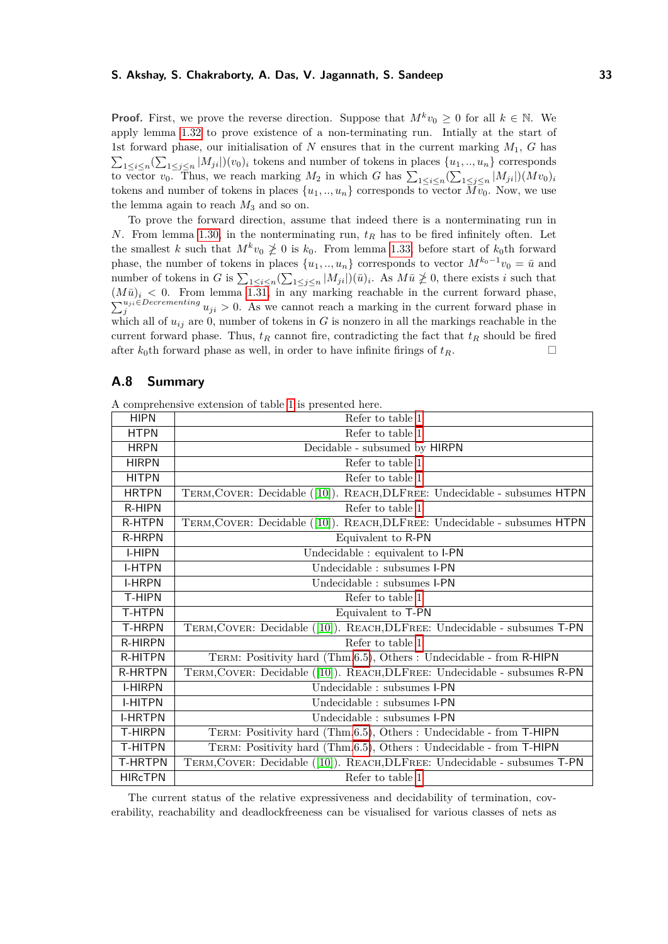**Proof.** First, we prove the reverse direction. Suppose that  $M^k v_0 \geq 0$  for all  $k \in \mathbb{N}$ . We apply lemma [1.32](#page-31-0) to prove existence of a non-terminating run. Intially at the start of 1st forward phase, our initialisation of  $N$  ensures that in the current marking  $M_1$ ,  $G$  has  $\sum_{1 \leq i \leq n} (\sum_{1 \leq j \leq n} |M_{ji}|)(v_0)_i$  tokens and number of tokens in places  $\{u_1, ..., u_n\}$  corresponds to vector  $v_0$ . Thus, we reach marking  $M_2$  in which *G* has  $\sum_{1 \leq i \leq n} (\sum_{1 \leq j \leq n} |M_{ji}|)(Mv_0)_i$ tokens and number of tokens in places  $\{u_1, \ldots, u_n\}$  corresponds to vector  $\overline{Mv_0}$ . Now, we use the lemma again to reach  $M_3$  and so on.

To prove the forward direction, assume that indeed there is a nonterminating run in *N*. From lemma [1.30,](#page-30-2) in the nonterminating run, *t<sup>R</sup>* has to be fired infinitely often. Let the smallest *k* such that  $M^k v_0 \not\geq 0$  is  $k_0$ . From lemma [1.33,](#page-31-1) before start of  $k_0$ th forward phase, the number of tokens in places  $\{u_1, \ldots, u_n\}$  corresponds to vector  $M^{k_0-1}v_0 = \bar{u}$  and number of tokens in *G* is  $\sum_{1 \leq i \leq n} (\sum_{1 \leq j \leq n} |M_{ji}|)(\bar{u})_i$ . As  $M\bar{u} \ngeq 0$ , there exists *i* such that  $(M\bar{u})_i < 0$ . From lemma [1.31,](#page-30-1) in any marking reachable in the current forward phase,  $\sum_{j}^{u_{ji}\in Decembering} u_{ji} > 0$ . As we cannot reach a marking in the current forward phase in which all of  $u_{ij}$  are 0, number of tokens in  $G$  is nonzero in all the markings reachable in the current forward phase. Thus,  $t_R$  cannot fire, contradicting the fact that  $t_R$  should be fired after  $k_0$ th forward phase as well, in order to have infinite firings of  $t_R$ .

# <span id="page-32-0"></span>**A.8 Summary**

|  |  |  | A comprehensive extension of table 1 is presented here. |  |
|--|--|--|---------------------------------------------------------|--|
|  |  |  |                                                         |  |

| <b>HIPN</b>    | Refer to table 1                                                          |  |  |  |
|----------------|---------------------------------------------------------------------------|--|--|--|
| <b>HTPN</b>    | Refer to table 1                                                          |  |  |  |
| <b>HRPN</b>    | Decidable - subsumed by HIRPN                                             |  |  |  |
| <b>HIRPN</b>   | Refer to table $1$                                                        |  |  |  |
| <b>HITPN</b>   | Refer to table 1                                                          |  |  |  |
| <b>HRTPN</b>   | TERM, COVER: Decidable ([10]). REACH, DLFREE: Undecidable - subsumes HTPN |  |  |  |
| R-HIPN         | Refer to table 1                                                          |  |  |  |
| <b>R-HTPN</b>  | TERM, COVER: Decidable ([10]). REACH, DLFREE: Undecidable - subsumes HTPN |  |  |  |
| <b>R-HRPN</b>  | Equivalent to R-PN                                                        |  |  |  |
| <b>I-HIPN</b>  | Undecidable : equivalent to I-PN                                          |  |  |  |
| <b>I-HTPN</b>  | Undecidable : subsumes I-PN                                               |  |  |  |
| <b>I-HRPN</b>  | Undecidable : subsumes I-PN                                               |  |  |  |
| T-HIPN         | Refer to table 1                                                          |  |  |  |
| T-HTPN         | Equivalent to T-PN                                                        |  |  |  |
| <b>T-HRPN</b>  | TERM, COVER: Decidable ([10]). REACH, DLFREE: Undecidable - subsumes T-PN |  |  |  |
| <b>R-HIRPN</b> | Refer to table 1                                                          |  |  |  |
| R-HITPN        | TERM: Positivity hard (Thm.6.5), Others : Undecidable - from R-HIPN       |  |  |  |
| <b>R-HRTPN</b> | TERM, COVER: Decidable ([10]). REACH, DLFREE: Undecidable - subsumes R-PN |  |  |  |
| <b>I-HIRPN</b> | Undecidable : subsumes I-PN                                               |  |  |  |
| <b>I-HITPN</b> | Undecidable : subsumes I-PN                                               |  |  |  |
| <b>I-HRTPN</b> | Undecidable : subsumes I-PN                                               |  |  |  |
| <b>T-HIRPN</b> | TERM: Positivity hard (Thm.6.5), Others : Undecidable - from T-HIPN       |  |  |  |
| <b>T-HITPN</b> | TERM: Positivity hard (Thm.6.5), Others : Undecidable - from T-HIPN       |  |  |  |
| <b>T-HRTPN</b> | TERM, COVER: Decidable ([10]). REACH, DLFREE: Undecidable - subsumes T-PN |  |  |  |
| <b>HIRcTPN</b> | Refer to table 1                                                          |  |  |  |

The current status of the relative expressiveness and decidability of termination, coverability, reachability and deadlockfreeness can be visualised for various classes of nets as